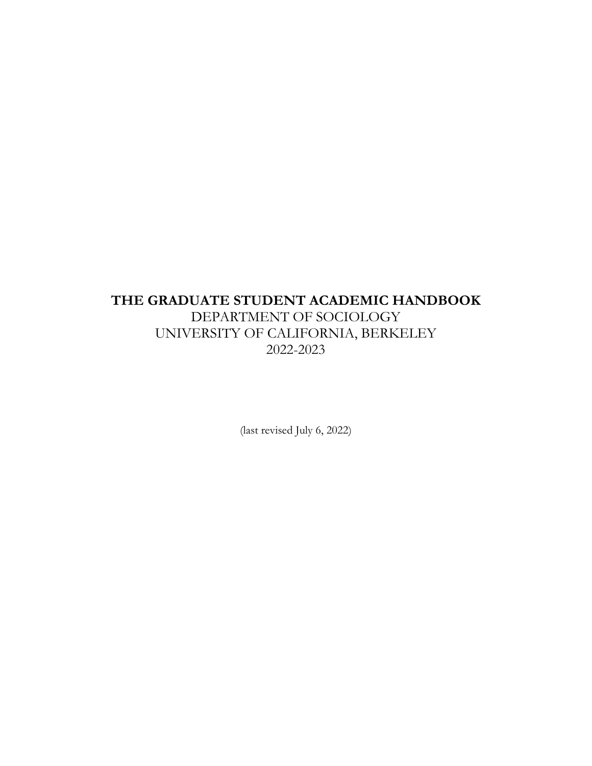# **THE GRADUATE STUDENT ACADEMIC HANDBOOK** DEPARTMENT OF SOCIOLOGY UNIVERSITY OF CALIFORNIA, BERKELEY 2022-2023

(last revised July 6, 2022)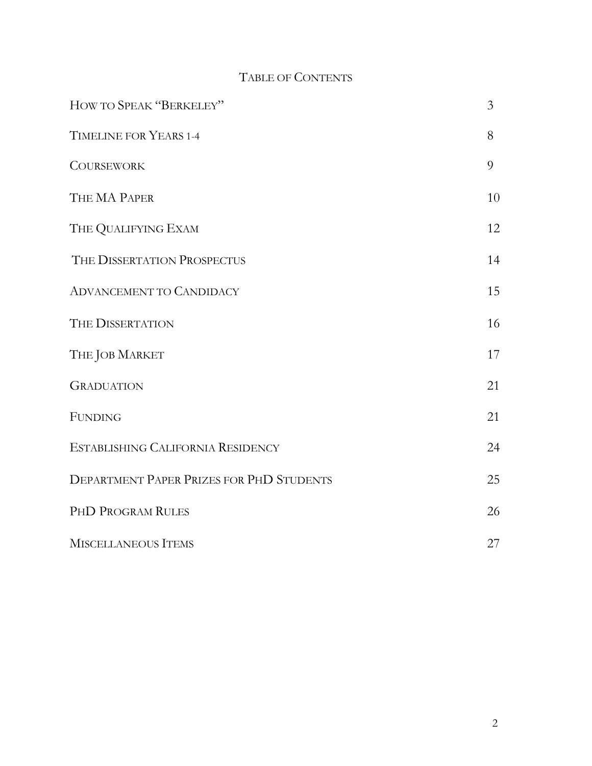## TABLE OF CONTENTS

| HOW TO SPEAK "BERKELEY"                         | $\overline{3}$ |
|-------------------------------------------------|----------------|
| TIMELINE FOR YEARS 1-4                          | 8              |
| <b>COURSEWORK</b>                               | 9              |
| THE MA PAPER                                    | 10             |
| THE QUALIFYING EXAM                             | 12             |
| THE DISSERTATION PROSPECTUS                     | 14             |
| <b>ADVANCEMENT TO CANDIDACY</b>                 | 15             |
| THE DISSERTATION                                | 16             |
| THE JOB MARKET                                  | 17             |
| <b>GRADUATION</b>                               | 21             |
| <b>FUNDING</b>                                  | 21             |
| ESTABLISHING CALIFORNIA RESIDENCY               | 24             |
| <b>DEPARTMENT PAPER PRIZES FOR PHD STUDENTS</b> | 25             |
| PHD PROGRAM RULES                               | 26             |
| MISCELLANEOUS ITEMS                             | 27             |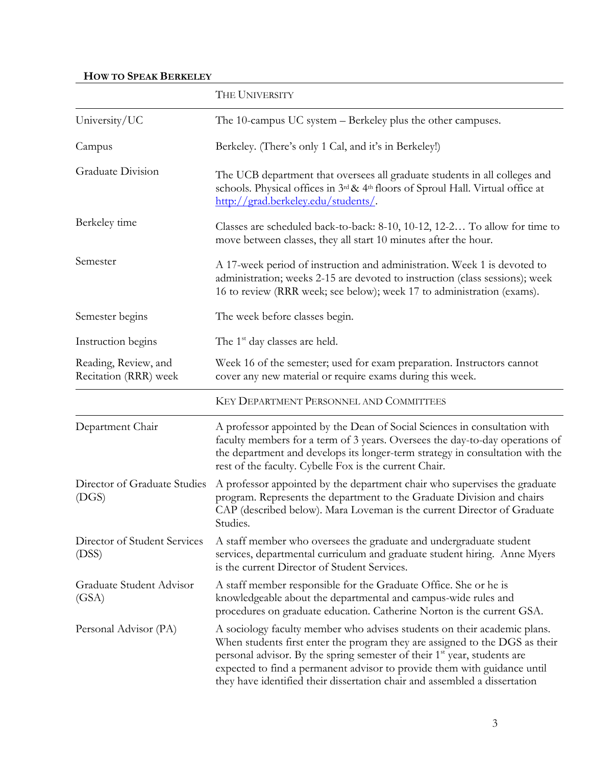## **HOW TO SPEAK BERKELEY**

|                                               | THE UNIVERSITY                                                                                                                                                                                                                                                                                                                                                                                            |  |  |  |  |  |
|-----------------------------------------------|-----------------------------------------------------------------------------------------------------------------------------------------------------------------------------------------------------------------------------------------------------------------------------------------------------------------------------------------------------------------------------------------------------------|--|--|--|--|--|
| University/UC                                 | The 10-campus UC system – Berkeley plus the other campuses.                                                                                                                                                                                                                                                                                                                                               |  |  |  |  |  |
| Campus                                        | Berkeley. (There's only 1 Cal, and it's in Berkeley!)                                                                                                                                                                                                                                                                                                                                                     |  |  |  |  |  |
| Graduate Division                             | The UCB department that oversees all graduate students in all colleges and<br>schools. Physical offices in 3rd & 4th floors of Sproul Hall. Virtual office at<br>http://grad.berkeley.edu/students/                                                                                                                                                                                                       |  |  |  |  |  |
| Berkeley time                                 | Classes are scheduled back-to-back: 8-10, 10-12, 12-2 To allow for time to<br>move between classes, they all start 10 minutes after the hour.                                                                                                                                                                                                                                                             |  |  |  |  |  |
| Semester                                      | A 17-week period of instruction and administration. Week 1 is devoted to<br>administration; weeks 2-15 are devoted to instruction (class sessions); week<br>16 to review (RRR week; see below); week 17 to administration (exams).                                                                                                                                                                        |  |  |  |  |  |
| Semester begins                               | The week before classes begin.                                                                                                                                                                                                                                                                                                                                                                            |  |  |  |  |  |
| Instruction begins                            | The 1 <sup>st</sup> day classes are held.                                                                                                                                                                                                                                                                                                                                                                 |  |  |  |  |  |
| Reading, Review, and<br>Recitation (RRR) week | Week 16 of the semester, used for exam preparation. Instructors cannot<br>cover any new material or require exams during this week.                                                                                                                                                                                                                                                                       |  |  |  |  |  |
|                                               | KEY DEPARTMENT PERSONNEL AND COMMITTEES                                                                                                                                                                                                                                                                                                                                                                   |  |  |  |  |  |
| Department Chair                              | A professor appointed by the Dean of Social Sciences in consultation with<br>faculty members for a term of 3 years. Oversees the day-to-day operations of<br>the department and develops its longer-term strategy in consultation with the<br>rest of the faculty. Cybelle Fox is the current Chair.                                                                                                      |  |  |  |  |  |
| Director of Graduate Studies<br>(DGS)         | A professor appointed by the department chair who supervises the graduate<br>program. Represents the department to the Graduate Division and chairs<br>CAP (described below). Mara Loveman is the current Director of Graduate<br>Studies.                                                                                                                                                                |  |  |  |  |  |
| Director of Student Services<br>(DSS)         | A staff member who oversees the graduate and undergraduate student<br>services, departmental curriculum and graduate student hiring. Anne Myers<br>is the current Director of Student Services.                                                                                                                                                                                                           |  |  |  |  |  |
| Graduate Student Advisor<br>(GSA)             | A staff member responsible for the Graduate Office. She or he is<br>knowledgeable about the departmental and campus-wide rules and<br>procedures on graduate education. Catherine Norton is the current GSA.                                                                                                                                                                                              |  |  |  |  |  |
| Personal Advisor (PA)                         | A sociology faculty member who advises students on their academic plans.<br>When students first enter the program they are assigned to the DGS as their<br>personal advisor. By the spring semester of their 1 <sup>st</sup> year, students are<br>expected to find a permanent advisor to provide them with guidance until<br>they have identified their dissertation chair and assembled a dissertation |  |  |  |  |  |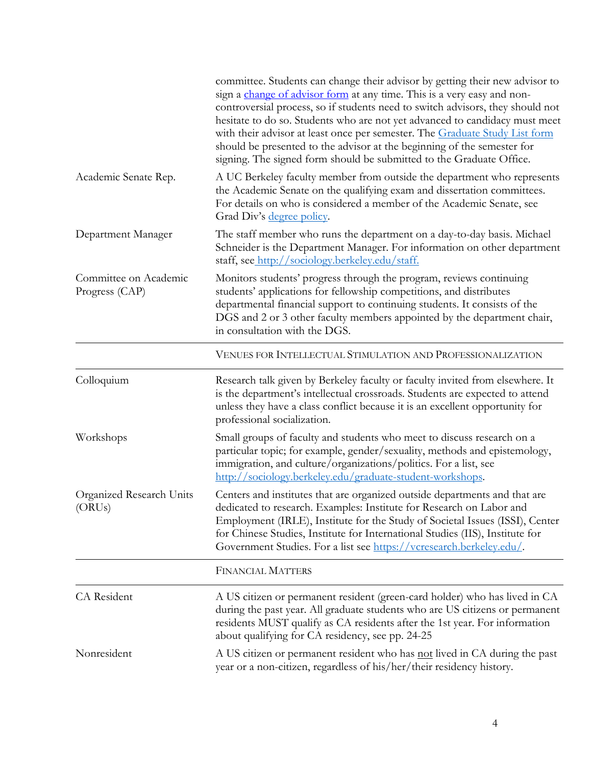|                                         | committee. Students can change their advisor by getting their new advisor to<br>sign a change of advisor form at any time. This is a very easy and non-<br>controversial process, so if students need to switch advisors, they should not<br>hesitate to do so. Students who are not yet advanced to candidacy must meet<br>with their advisor at least once per semester. The Graduate Study List form<br>should be presented to the advisor at the beginning of the semester for<br>signing. The signed form should be submitted to the Graduate Office. |
|-----------------------------------------|------------------------------------------------------------------------------------------------------------------------------------------------------------------------------------------------------------------------------------------------------------------------------------------------------------------------------------------------------------------------------------------------------------------------------------------------------------------------------------------------------------------------------------------------------------|
| Academic Senate Rep.                    | A UC Berkeley faculty member from outside the department who represents<br>the Academic Senate on the qualifying exam and dissertation committees.<br>For details on who is considered a member of the Academic Senate, see<br>Grad Div's <u>degree policy</u> .                                                                                                                                                                                                                                                                                           |
| Department Manager                      | The staff member who runs the department on a day-to-day basis. Michael<br>Schneider is the Department Manager. For information on other department<br>staff, see http://sociology.berkeley.edu/staff.                                                                                                                                                                                                                                                                                                                                                     |
| Committee on Academic<br>Progress (CAP) | Monitors students' progress through the program, reviews continuing<br>students' applications for fellowship competitions, and distributes<br>departmental financial support to continuing students. It consists of the<br>DGS and 2 or 3 other faculty members appointed by the department chair,<br>in consultation with the DGS.                                                                                                                                                                                                                        |
|                                         | VENUES FOR INTELLECTUAL STIMULATION AND PROFESSIONALIZATION                                                                                                                                                                                                                                                                                                                                                                                                                                                                                                |
| Colloquium                              | Research talk given by Berkeley faculty or faculty invited from elsewhere. It<br>is the department's intellectual crossroads. Students are expected to attend<br>unless they have a class conflict because it is an excellent opportunity for<br>professional socialization.                                                                                                                                                                                                                                                                               |
| Workshops                               | Small groups of faculty and students who meet to discuss research on a<br>particular topic; for example, gender/sexuality, methods and epistemology,<br>immigration, and culture/organizations/politics. For a list, see<br>http://sociology.berkeley.edu/graduate-student-workshops.                                                                                                                                                                                                                                                                      |
| Organized Research Units<br>(ORUs)      | Centers and institutes that are organized outside departments and that are<br>dedicated to research. Examples: Institute for Research on Labor and<br>Employment (IRLE), Institute for the Study of Societal Issues (ISSI), Center<br>for Chinese Studies, Institute for International Studies (IIS), Institute for<br>Government Studies. For a list see https://vcresearch.berkeley.edu/.                                                                                                                                                                |
|                                         | <b>FINANCIAL MATTERS</b>                                                                                                                                                                                                                                                                                                                                                                                                                                                                                                                                   |
| CA Resident                             | A US citizen or permanent resident (green-card holder) who has lived in CA<br>during the past year. All graduate students who are US citizens or permanent<br>residents MUST qualify as CA residents after the 1st year. For information<br>about qualifying for CA residency, see pp. 24-25                                                                                                                                                                                                                                                               |
| Nonresident                             | A US citizen or permanent resident who has not lived in CA during the past<br>year or a non-citizen, regardless of his/her/their residency history.                                                                                                                                                                                                                                                                                                                                                                                                        |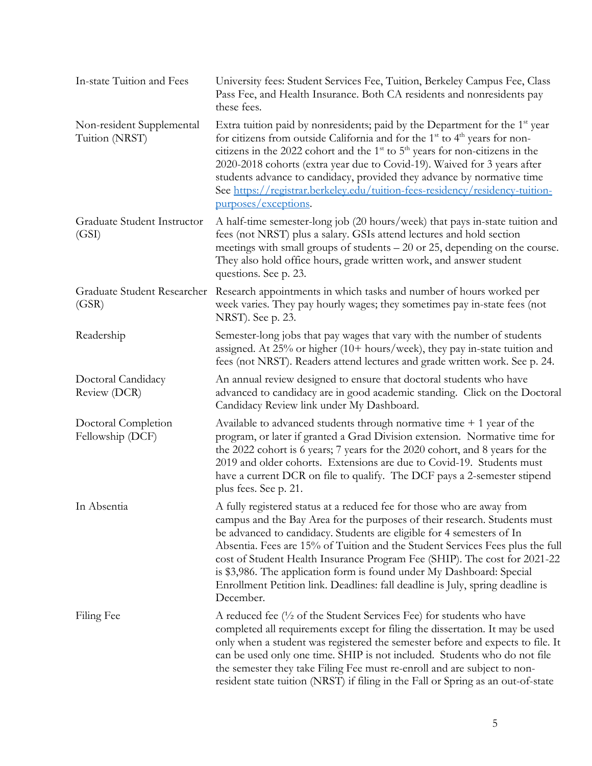| In-state Tuition and Fees                   | University fees: Student Services Fee, Tuition, Berkeley Campus Fee, Class<br>Pass Fee, and Health Insurance. Both CA residents and nonresidents pay<br>these fees.                                                                                                                                                                                                                                                                                                                                                                                                |
|---------------------------------------------|--------------------------------------------------------------------------------------------------------------------------------------------------------------------------------------------------------------------------------------------------------------------------------------------------------------------------------------------------------------------------------------------------------------------------------------------------------------------------------------------------------------------------------------------------------------------|
| Non-resident Supplemental<br>Tuition (NRST) | Extra tuition paid by nonresidents; paid by the Department for the 1 <sup>st</sup> year<br>for citizens from outside California and for the $1st$ to $4th$ years for non-<br>citizens in the 2022 cohort and the $1st$ to $5th$ years for non-citizens in the<br>2020-2018 cohorts (extra year due to Covid-19). Waived for 3 years after<br>students advance to candidacy, provided they advance by normative time<br>See https://registrar.berkeley.edu/tuition-fees-residency/residency-tuition-<br>purposes/exceptions.                                        |
| Graduate Student Instructor<br>(GSI)        | A half-time semester-long job (20 hours/week) that pays in-state tuition and<br>fees (not NRST) plus a salary. GSIs attend lectures and hold section<br>meetings with small groups of students - 20 or 25, depending on the course.<br>They also hold office hours, grade written work, and answer student<br>questions. See p. 23.                                                                                                                                                                                                                                |
| Graduate Student Researcher<br>(GSR)        | Research appointments in which tasks and number of hours worked per<br>week varies. They pay hourly wages; they sometimes pay in-state fees (not<br>NRST). See p. 23.                                                                                                                                                                                                                                                                                                                                                                                              |
| Readership                                  | Semester-long jobs that pay wages that vary with the number of students<br>assigned. At $25\%$ or higher (10+ hours/week), they pay in-state tuition and<br>fees (not NRST). Readers attend lectures and grade written work. See p. 24.                                                                                                                                                                                                                                                                                                                            |
| Doctoral Candidacy<br>Review (DCR)          | An annual review designed to ensure that doctoral students who have<br>advanced to candidacy are in good academic standing. Click on the Doctoral<br>Candidacy Review link under My Dashboard.                                                                                                                                                                                                                                                                                                                                                                     |
| Doctoral Completion<br>Fellowship (DCF)     | Available to advanced students through normative time $+1$ year of the<br>program, or later if granted a Grad Division extension. Normative time for<br>the 2022 cohort is 6 years; 7 years for the 2020 cohort, and 8 years for the<br>2019 and older cohorts. Extensions are due to Covid-19. Students must<br>have a current DCR on file to qualify. The DCF pays a 2-semester stipend<br>plus fees. See p. 21.                                                                                                                                                 |
| In Absentia                                 | A fully registered status at a reduced fee for those who are away from<br>campus and the Bay Area for the purposes of their research. Students must<br>be advanced to candidacy. Students are eligible for 4 semesters of In<br>Absentia. Fees are 15% of Tuition and the Student Services Fees plus the full<br>cost of Student Health Insurance Program Fee (SHIP). The cost for 2021-22<br>is \$3,986. The application form is found under My Dashboard: Special<br>Enrollment Petition link. Deadlines: fall deadline is July, spring deadline is<br>December. |
| Filing Fee                                  | A reduced fee $\left(\frac{1}{2}\right)$ of the Student Services Fee) for students who have<br>completed all requirements except for filing the dissertation. It may be used<br>only when a student was registered the semester before and expects to file. It<br>can be used only one time. SHIP is not included. Students who do not file<br>the semester they take Filing Fee must re-enroll and are subject to non-<br>resident state tuition (NRST) if filing in the Fall or Spring as an out-of-state                                                        |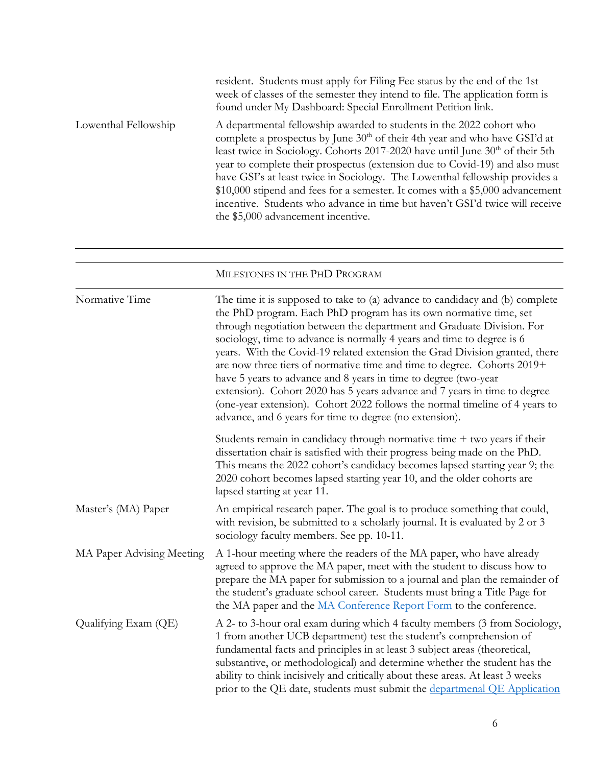|                      | resident. Students must apply for Filing Fee status by the end of the 1st<br>week of classes of the semester they intend to file. The application form is<br>found under My Dashboard: Special Enrollment Petition link.                                                                                                                                                                                                                                                                                                                                                                                     |
|----------------------|--------------------------------------------------------------------------------------------------------------------------------------------------------------------------------------------------------------------------------------------------------------------------------------------------------------------------------------------------------------------------------------------------------------------------------------------------------------------------------------------------------------------------------------------------------------------------------------------------------------|
| Lowenthal Fellowship | A departmental fellowship awarded to students in the 2022 cohort who<br>complete a prospectus by June $30th$ of their 4th year and who have GSI'd at<br>least twice in Sociology. Cohorts 2017-2020 have until June $30th$ of their 5th<br>year to complete their prospectus (extension due to Covid-19) and also must<br>have GSI's at least twice in Sociology. The Lowenthal fellowship provides a<br>\$10,000 stipend and fees for a semester. It comes with a \$5,000 advancement<br>incentive. Students who advance in time but haven't GSI'd twice will receive<br>the \$5,000 advancement incentive. |

|                           | MILESTONES IN THE PHD PROGRAM                                                                                                                                                                                                                                                                                                                                                                                                                                                                                                                                                                                                                                                                                                                            |
|---------------------------|----------------------------------------------------------------------------------------------------------------------------------------------------------------------------------------------------------------------------------------------------------------------------------------------------------------------------------------------------------------------------------------------------------------------------------------------------------------------------------------------------------------------------------------------------------------------------------------------------------------------------------------------------------------------------------------------------------------------------------------------------------|
| Normative Time            | The time it is supposed to take to (a) advance to candidacy and (b) complete<br>the PhD program. Each PhD program has its own normative time, set<br>through negotiation between the department and Graduate Division. For<br>sociology, time to advance is normally 4 years and time to degree is 6<br>years. With the Covid-19 related extension the Grad Division granted, there<br>are now three tiers of normative time and time to degree. Cohorts 2019+<br>have 5 years to advance and 8 years in time to degree (two-year<br>extension). Cohort 2020 has 5 years advance and 7 years in time to degree<br>(one-year extension). Cohort 2022 follows the normal timeline of 4 years to<br>advance, and 6 years for time to degree (no extension). |
|                           | Students remain in candidacy through normative time $+$ two years if their<br>dissertation chair is satisfied with their progress being made on the PhD.<br>This means the 2022 cohort's candidacy becomes lapsed starting year 9; the<br>2020 cohort becomes lapsed starting year 10, and the older cohorts are<br>lapsed starting at year 11.                                                                                                                                                                                                                                                                                                                                                                                                          |
| Master's (MA) Paper       | An empirical research paper. The goal is to produce something that could,<br>with revision, be submitted to a scholarly journal. It is evaluated by 2 or 3<br>sociology faculty members. See pp. 10-11.                                                                                                                                                                                                                                                                                                                                                                                                                                                                                                                                                  |
| MA Paper Advising Meeting | A 1-hour meeting where the readers of the MA paper, who have already<br>agreed to approve the MA paper, meet with the student to discuss how to<br>prepare the MA paper for submission to a journal and plan the remainder of<br>the student's graduate school career. Students must bring a Title Page for<br>the MA paper and the MA Conference Report Form to the conference.                                                                                                                                                                                                                                                                                                                                                                         |
| Qualifying Exam (QE)      | A 2- to 3-hour oral exam during which 4 faculty members (3 from Sociology,<br>1 from another UCB department) test the student's comprehension of<br>fundamental facts and principles in at least 3 subject areas (theoretical,<br>substantive, or methodological) and determine whether the student has the<br>ability to think incisively and critically about these areas. At least 3 weeks<br>prior to the QE date, students must submit the departmenal QE Application                                                                                                                                                                                                                                                                               |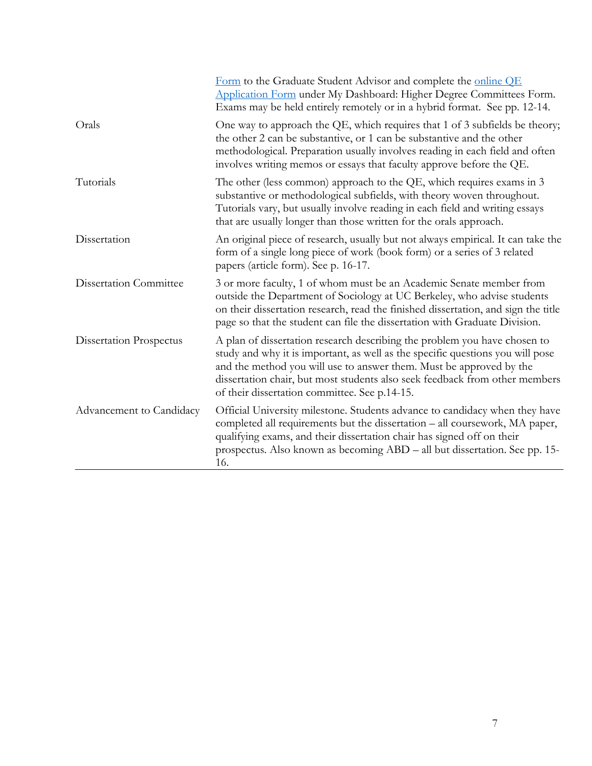|                                | Form to the Graduate Student Advisor and complete the online QE<br>Application Form under My Dashboard: Higher Degree Committees Form.<br>Exams may be held entirely remotely or in a hybrid format. See pp. 12-14.                                                                                                                                                |
|--------------------------------|--------------------------------------------------------------------------------------------------------------------------------------------------------------------------------------------------------------------------------------------------------------------------------------------------------------------------------------------------------------------|
| Orals                          | One way to approach the QE, which requires that 1 of 3 subfields be theory;<br>the other 2 can be substantive, or 1 can be substantive and the other<br>methodological. Preparation usually involves reading in each field and often<br>involves writing memos or essays that faculty approve before the QE.                                                       |
| Tutorials                      | The other (less common) approach to the QE, which requires exams in 3<br>substantive or methodological subfields, with theory woven throughout.<br>Tutorials vary, but usually involve reading in each field and writing essays<br>that are usually longer than those written for the orals approach.                                                              |
| Dissertation                   | An original piece of research, usually but not always empirical. It can take the<br>form of a single long piece of work (book form) or a series of 3 related<br>papers (article form). See p. 16-17.                                                                                                                                                               |
| <b>Dissertation Committee</b>  | 3 or more faculty, 1 of whom must be an Academic Senate member from<br>outside the Department of Sociology at UC Berkeley, who advise students<br>on their dissertation research, read the finished dissertation, and sign the title<br>page so that the student can file the dissertation with Graduate Division.                                                 |
| <b>Dissertation Prospectus</b> | A plan of dissertation research describing the problem you have chosen to<br>study and why it is important, as well as the specific questions you will pose<br>and the method you will use to answer them. Must be approved by the<br>dissertation chair, but most students also seek feedback from other members<br>of their dissertation committee. See p.14-15. |
| Advancement to Candidacy       | Official University milestone. Students advance to candidacy when they have<br>completed all requirements but the dissertation - all coursework, MA paper,<br>qualifying exams, and their dissertation chair has signed off on their<br>prospectus. Also known as becoming ABD - all but dissertation. See pp. 15-<br>16.                                          |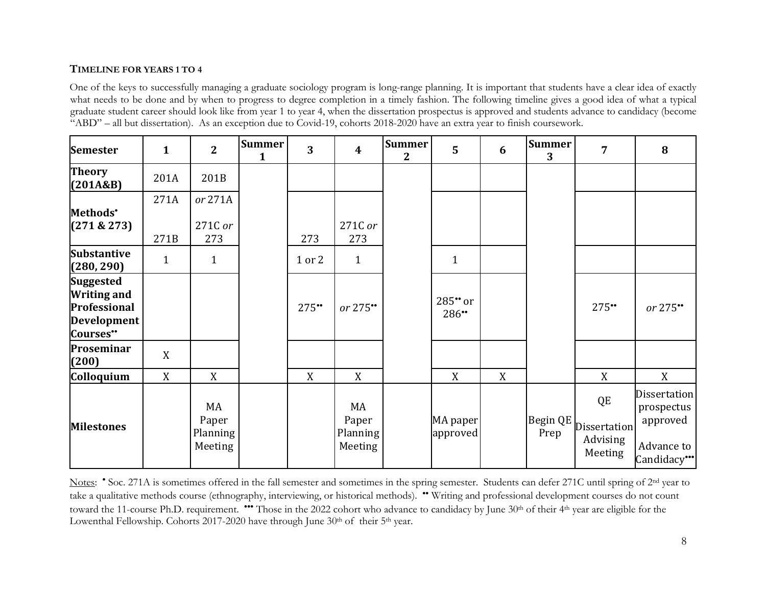#### **TIMELINE FOR YEARS 1 TO 4**

One of the keys to successfully managing a graduate sociology program is long-range planning. It is important that students have a clear idea of exactly what needs to be done and by when to progress to degree completion in a timely fashion. The following timeline gives a good idea of what a typical graduate student career should look like from year 1 to year 4, when the dissertation prospectus is approved and students advance to candidacy (become "ABD" – all but dissertation). As an exception due to Covid-19, cohorts 2018-2020 have an extra year to finish coursework.

| <b>Semester</b>                                                                   | $\mathbf{1}$ | $\overline{2}$                     | <b>Summer</b><br>$\mathbf{1}$ | $\overline{3}$ | $\overline{\mathbf{4}}$            | <b>Summer</b><br>$\mathbf{2}$ | $\overline{5}$       | 6 | <b>Summer</b><br>3 | $\overline{7}$                            | 8                                                                         |
|-----------------------------------------------------------------------------------|--------------|------------------------------------|-------------------------------|----------------|------------------------------------|-------------------------------|----------------------|---|--------------------|-------------------------------------------|---------------------------------------------------------------------------|
| <b>Theory</b><br>(201A&B)                                                         | 201A         | 201B                               |                               |                |                                    |                               |                      |   |                    |                                           |                                                                           |
| Methods <sup>*</sup><br>(271 & 273)                                               | 271A<br>271B | or 271A<br>271C or<br>273          |                               | 273            | 271C or<br>273                     |                               |                      |   |                    |                                           |                                                                           |
| <b>Substantive</b><br>(280, 290)                                                  | $\mathbf{1}$ | $\mathbf{1}$                       |                               | 1 or 2         | $\mathbf{1}$                       |                               | $\mathbf{1}$         |   |                    |                                           |                                                                           |
| <b>Suggested</b><br><b>Writing and</b><br>Professional<br>Development<br>Courses" |              |                                    |                               | 275"           | or 275**                           |                               | 285" or<br>286**     |   |                    | 275"                                      | or $275$ **                                                               |
| Proseminar<br>(200)                                                               | X            |                                    |                               |                |                                    |                               |                      |   |                    |                                           |                                                                           |
| Colloquium                                                                        | X            | X                                  |                               | X              | X                                  |                               | X                    | X |                    | X                                         | X                                                                         |
| <b>Milestones</b>                                                                 |              | MA<br>Paper<br>Planning<br>Meeting |                               |                | MA<br>Paper<br>Planning<br>Meeting |                               | MA paper<br>approved |   | Begin QE<br>Prep   | QE<br>Dissertation<br>Advising<br>Meeting | <b>Dissertation</b><br>prospectus<br>approved<br>Advance to<br>Candidacy" |

Notes: • Soc. 271A is sometimes offered in the fall semester and sometimes in the spring semester. Students can defer 271C until spring of 2<sup>nd</sup> year to take a qualitative methods course (ethnography, interviewing, or historical methods). •• Writing and professional development courses do not count toward the 11-course Ph.D. requirement. \*\*\* Those in the 2022 cohort who advance to candidacy by June 30<sup>th</sup> of their 4<sup>th</sup> year are eligible for the Lowenthal Fellowship. Cohorts 2017-2020 have through June 30<sup>th</sup> of their 5<sup>th</sup> year.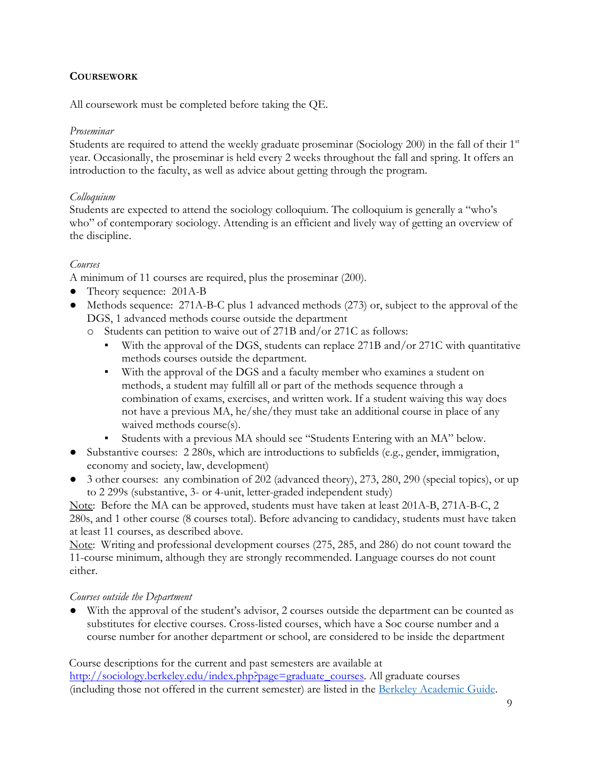## **COURSEWORK**

All coursework must be completed before taking the QE.

## *Proseminar*

Students are required to attend the weekly graduate proseminar (Sociology 200) in the fall of their  $1<sup>st</sup>$ year. Occasionally, the proseminar is held every 2 weeks throughout the fall and spring. It offers an introduction to the faculty, as well as advice about getting through the program.

## *Colloquium*

Students are expected to attend the sociology colloquium. The colloquium is generally a "who's who" of contemporary sociology. Attending is an efficient and lively way of getting an overview of the discipline.

## *Courses*

A minimum of 11 courses are required, plus the proseminar (200).

- Theory sequence: 201A-B
- Methods sequence: 271A-B-C plus 1 advanced methods (273) or, subject to the approval of the DGS, 1 advanced methods course outside the department
	- o Students can petition to waive out of 271B and/or 271C as follows:
		- With the approval of the DGS, students can replace 271B and/or 271C with quantitative methods courses outside the department.
		- With the approval of the DGS and a faculty member who examines a student on methods, a student may fulfill all or part of the methods sequence through a combination of exams, exercises, and written work. If a student waiving this way does not have a previous MA, he/she/they must take an additional course in place of any waived methods course(s).
		- Students with a previous MA should see "Students Entering with an MA" below.
- Substantive courses: 2 280s, which are introductions to subfields (e.g., gender, immigration, economy and society, law, development)
- 3 other courses: any combination of 202 (advanced theory), 273, 280, 290 (special topics), or up to 2 299s (substantive, 3- or 4-unit, letter-graded independent study)

Note: Before the MA can be approved, students must have taken at least 201A-B, 271A-B-C, 2 280s, and 1 other course (8 courses total). Before advancing to candidacy, students must have taken at least 11 courses, as described above.

Note: Writing and professional development courses (275, 285, and 286) do not count toward the 11-course minimum, although they are strongly recommended. Language courses do not count either.

## *Courses outside the Department*

With the approval of the student's advisor, 2 courses outside the department can be counted as substitutes for elective courses. Cross-listed courses, which have a Soc course number and a course number for another department or school, are considered to be inside the department

Course descriptions for the current and past semesters are available at [http://sociology.berkeley.edu/index.php?page=graduate\\_courses.](http://sociology.berkeley.edu/index.php?page=graduate_courses) All graduate courses (including those not offered in the current semester) are listed in the [Berkeley Academic Guide](http://guide.berkeley.edu/graduate/degree-programs/sociology/#coursestext.)[.](http://guide.berkeley.edu/graduate/degree-programs/sociology/#coursestext)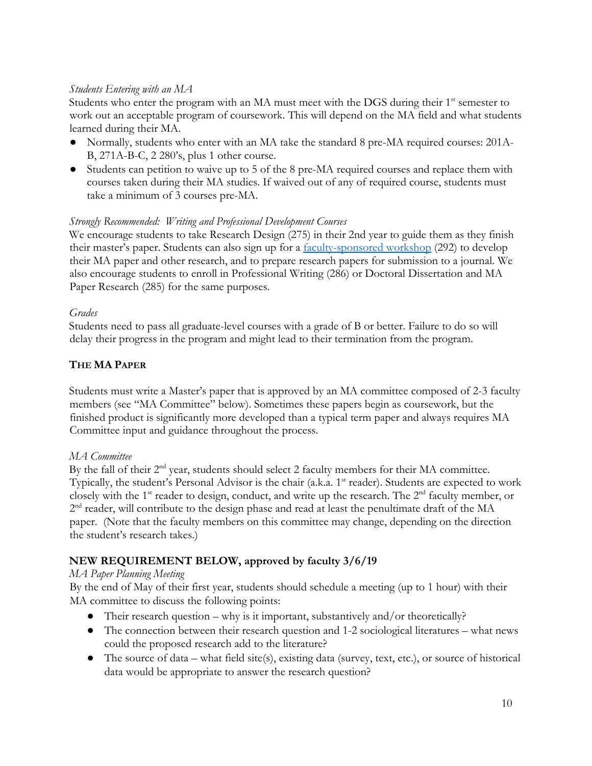## *Students Entering with an MA*

Students who enter the program with an MA must meet with the DGS during their  $1<sup>st</sup>$  semester to work out an acceptable program of coursework. This will depend on the MA field and what students learned during their MA.

- Normally, students who enter with an MA take the standard 8 pre-MA required courses: 201A-B, 271A-B-C, 2 280's, plus 1 other course.
- Students can petition to waive up to 5 of the 8 pre-MA required courses and replace them with courses taken during their MA studies. If waived out of any of required course, students must take a minimum of 3 courses pre-MA.

## *Strongly Recommended: Writing and Professional Development Courses*

We encourage students to take Research Design (275) in their 2nd year to guide them as they finish their master's paper. Students can also sign up for a [faculty-sponsored workshop](http://sociology.berkeley.edu/graduate-student-workshops) (292) to develop their MA paper and other research, and to prepare research papers for submission to a journal. We also encourage students to enroll in Professional Writing (286) or Doctoral Dissertation and MA Paper Research (285) for the same purposes.

#### *Grades*

Students need to pass all graduate-level courses with a grade of B or better. Failure to do so will delay their progress in the program and might lead to their termination from the program.

## **THE MA PAPER**

Students must write a Master's paper that is approved by an MA committee composed of 2-3 faculty members (see "MA Committee" below). Sometimes these papers begin as coursework, but the finished product is significantly more developed than a typical term paper and always requires MA Committee input and guidance throughout the process.

## *MA Committee*

By the fall of their 2<sup>nd</sup> year, students should select 2 faculty members for their MA committee. Typically, the student's Personal Advisor is the chair (a.k.a. 1<sup>st</sup> reader). Students are expected to work closely with the 1<sup>st</sup> reader to design, conduct, and write up the research. The 2<sup>nd</sup> faculty member, or 2<sup>nd</sup> reader, will contribute to the design phase and read at least the penultimate draft of the MA paper. (Note that the faculty members on this committee may change, depending on the direction the student's research takes.)

## **NEW REQUIREMENT BELOW, approved by faculty 3/6/19**

## *MA Paper Planning Meeting*

By the end of May of their first year, students should schedule a meeting (up to 1 hour) with their MA committee to discuss the following points:

- Their research question why is it important, substantively and/or theoretically?
- The connection between their research question and 1-2 sociological literatures what news could the proposed research add to the literature?
- The source of data what field site(s), existing data (survey, text, etc.), or source of historical data would be appropriate to answer the research question?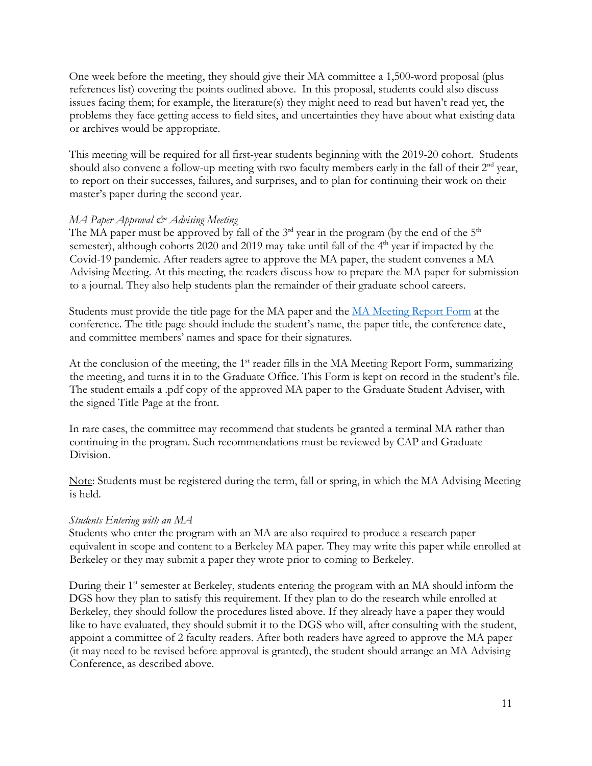One week before the meeting, they should give their MA committee a 1,500-word proposal (plus references list) covering the points outlined above. In this proposal, students could also discuss issues facing them; for example, the literature(s) they might need to read but haven't read yet, the problems they face getting access to field sites, and uncertainties they have about what existing data or archives would be appropriate.

This meeting will be required for all first-year students beginning with the 2019-20 cohort. Students should also convene a follow-up meeting with two faculty members early in the fall of their  $2<sup>nd</sup>$  year, to report on their successes, failures, and surprises, and to plan for continuing their work on their master's paper during the second year.

## *MA Paper Approval & Advising Meeting*

The MA paper must be approved by fall of the  $3<sup>rd</sup>$  year in the program (by the end of the  $5<sup>th</sup>$ semester), although cohorts 2020 and 2019 may take until fall of the  $4<sup>th</sup>$  year if impacted by the Covid-19 pandemic. After readers agree to approve the MA paper, the student convenes a MA Advising Meeting. At this meeting, the readers discuss how to prepare the MA paper for submission to a journal. They also help students plan the remainder of their graduate school careers.

Students must provide the title page for the MA paper and the [MA Meeting Report Form](https://sociology.berkeley.edu/academic-handbook-and-forms) at the conference. The title page should include the student's name, the paper title, the conference date, and committee members' names and space for their signatures.

At the conclusion of the meeting, the 1<sup>st</sup> reader fills in the MA Meeting Report Form, summarizing the meeting, and turns it in to the Graduate Office. This Form is kept on record in the student's file. The student emails a .pdf copy of the approved MA paper to the Graduate Student Adviser, with the signed Title Page at the front.

In rare cases, the committee may recommend that students be granted a terminal MA rather than continuing in the program. Such recommendations must be reviewed by CAP and Graduate Division.

Note: Students must be registered during the term, fall or spring, in which the MA Advising Meeting is held.

## *Students Entering with an MA*

Students who enter the program with an MA are also required to produce a research paper equivalent in scope and content to a Berkeley MA paper. They may write this paper while enrolled at Berkeley or they may submit a paper they wrote prior to coming to Berkeley.

During their 1<sup>st</sup> semester at Berkeley, students entering the program with an MA should inform the DGS how they plan to satisfy this requirement. If they plan to do the research while enrolled at Berkeley, they should follow the procedures listed above. If they already have a paper they would like to have evaluated, they should submit it to the DGS who will, after consulting with the student, appoint a committee of 2 faculty readers. After both readers have agreed to approve the MA paper (it may need to be revised before approval is granted), the student should arrange an MA Advising Conference, as described above.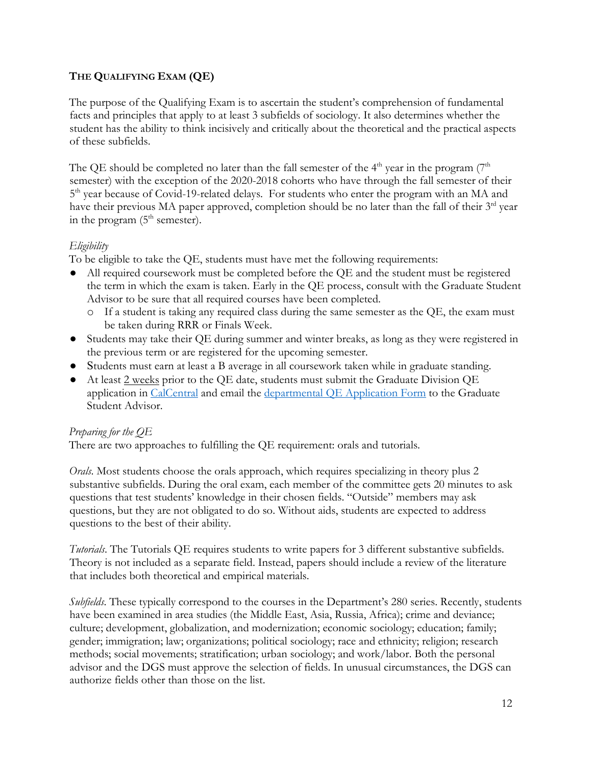## **THE QUALIFYING EXAM (QE)**

The purpose of the Qualifying Exam is to ascertain the student's comprehension of fundamental facts and principles that apply to at least 3 subfields of sociology. It also determines whether the student has the ability to think incisively and critically about the theoretical and the practical aspects of these subfields.

The QE should be completed no later than the fall semester of the  $4<sup>th</sup>$  year in the program  $(7<sup>th</sup>$ semester) with the exception of the 2020-2018 cohorts who have through the fall semester of their 5<sup>th</sup> year because of Covid-19-related delays. For students who enter the program with an MA and have their previous MA paper approved, completion should be no later than the fall of their 3<sup>rd</sup> year in the program  $(5<sup>th</sup>$  semester).

## *Eligibility*

To be eligible to take the QE, students must have met the following requirements:

- All required coursework must be completed before the QE and the student must be registered the term in which the exam is taken. Early in the QE process, consult with the Graduate Student Advisor to be sure that all required courses have been completed.
	- o If a student is taking any required class during the same semester as the QE, the exam must be taken during RRR or Finals Week.
- Students may take their QE during summer and winter breaks, as long as they were registered in the previous term or are registered for the upcoming semester.
- Students must earn at least a B average in all coursework taken while in graduate standing.
- At least 2 weeks prior to the QE date, students must submit the Graduate Division QE application in [CalCentral](https://calcentral.berkeley.edu/) and email the [departmental QE Application Form](http://sociology.berkeley.edu/academic-handbook-and-forms) [to](http://sociology.berkeley.edu/documents/grads/QE%20orals.pdf) the Graduate Student Advisor.

## *Preparing for the QE*

There are two approaches to fulfilling the QE requirement: orals and tutorials.

*Orals*. Most students choose the orals approach, which requires specializing in theory plus 2 substantive subfields. During the oral exam, each member of the committee gets 20 minutes to ask questions that test students' knowledge in their chosen fields. "Outside" members may ask questions, but they are not obligated to do so. Without aids, students are expected to address questions to the best of their ability.

*Tutorials*. The Tutorials QE requires students to write papers for 3 different substantive subfields. Theory is not included as a separate field. Instead, papers should include a review of the literature that includes both theoretical and empirical materials.

*Subfields*. These typically correspond to the courses in the Department's 280 series. Recently, students have been examined in area studies (the Middle East, Asia, Russia, Africa); crime and deviance; culture; development, globalization, and modernization; economic sociology; education; family; gender; immigration; law; organizations; political sociology; race and ethnicity; religion; research methods; social movements; stratification; urban sociology; and work/labor. Both the personal advisor and the DGS must approve the selection of fields. In unusual circumstances, the DGS can authorize fields other than those on the list.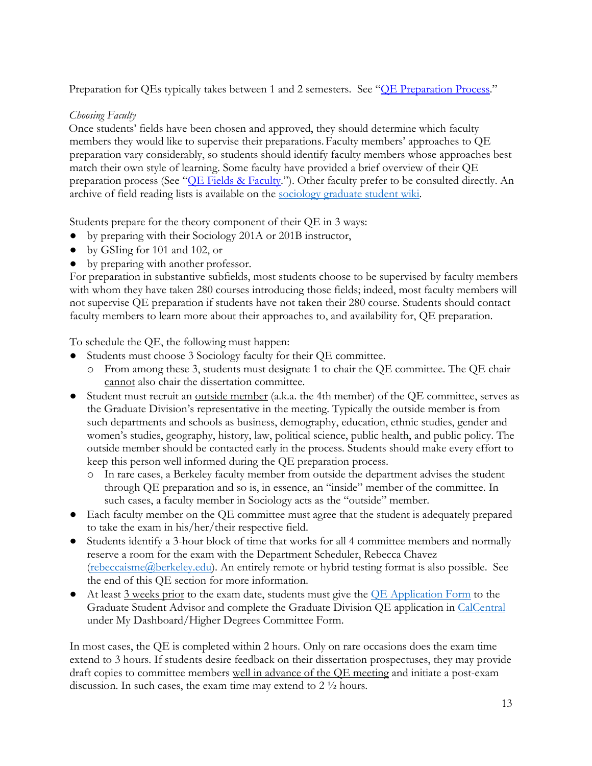Preparation for QEs typically takes between 1 and 2 semesters. See "OE Preparation Process."

## *Choosing Faculty*

Once students' fields have been chosen and approved, they should determine which faculty members they would like to supervise their preparations. Faculty members' approaches to QE preparation vary considerably, so students should identify faculty members whose approaches best match their own style of learning. Some faculty have provided a brief overview of their QE preparation process (See "OE Fields & Faculty."). Other faculty prefer to be consulted directly. An archive of field reading lists is available on the [sociology graduate student wiki.](https://drive.google.com/drive/folders/1kI6HcaeXqbYrqgde-SynanWLpdCsM5N3?usp=sharing)

Students prepare for the theory component of their QE in 3 ways:

- by preparing with their Sociology 201A or 201B instructor,
- by GSIing for 101 and 102, or
- by preparing with another professor.

For preparation in substantive subfields, most students choose to be supervised by faculty members with whom they have taken 280 courses introducing those fields; indeed, most faculty members will not supervise QE preparation if students have not taken their 280 course. Students should contact faculty members to learn more about their approaches to, and availability for, QE preparation.

To schedule the QE, the following must happen:

- Students must choose 3 Sociology faculty for their QE committee.
	- o From among these 3, students must designate 1 to chair the QE committee. The QE chair cannot also chair the dissertation committee.
- Student must recruit an outside member (a.k.a. the 4th member) of the QE committee, serves as the Graduate Division's representative in the meeting. Typically the outside member is from such departments and schools as business, demography, education, ethnic studies, gender and women's studies, geography, history, law, political science, public health, and public policy. The outside member should be contacted early in the process. Students should make every effort to keep this person well informed during the QE preparation process.
	- o In rare cases, a Berkeley faculty member from outside the department advises the student through QE preparation and so is, in essence, an "inside" member of the committee. In such cases, a faculty member in Sociology acts as the "outside" member.
- Each faculty member on the QE committee must agree that the student is adequately prepared to take the exam in his/her/their respective field.
- Students identify a 3-hour block of time that works for all 4 committee members and normally reserve a room for the exam with the Department Scheduler, Rebecca Chavez [\(rebeccaisme@berkeley.edu\)](mailto:rebeccaisme@berkeley.edu). An entirely remote or hybrid testing format is also possible. See the end of this QE section for more information.
- At least 3 weeks prior to the exam date, students must give the [QE Application Form](http://sociology.berkeley.edu/academic-handbook-and-forms) to the Graduate Student Advisor and complete the Graduate Division QE application in CalCentral under My Dashboard/Higher Degrees Committee Form.

In most cases, the QE is completed within 2 hours. Only on rare occasions does the exam time extend to 3 hours. If students desire feedback on their dissertation prospectuses, they may provide draft copies to committee members well in advance of the QE meeting and initiate a post-exam discussion. In such cases, the exam time may extend to 2 ½ hours.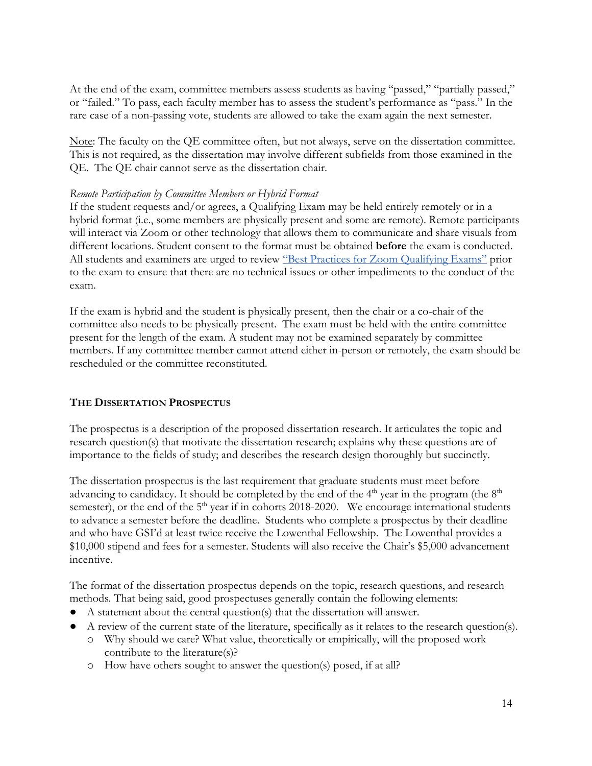At the end of the exam, committee members assess students as having "passed," "partially passed," or "failed." To pass, each faculty member has to assess the student's performance as "pass." In the rare case of a non-passing vote, students are allowed to take the exam again the next semester.

Note: The faculty on the QE committee often, but not always, serve on the dissertation committee. This is not required, as the dissertation may involve different subfields from those examined in the QE. The QE chair cannot serve as the dissertation chair.

#### *Remote Participation by Committee Members or Hybrid Format*

If the student requests and/or agrees, a Qualifying Exam may be held entirely remotely or in a hybrid format (i.e., some members are physically present and some are remote). Remote participants will interact via Zoom or other technology that allows them to communicate and share visuals from different locations. Student consent to the format must be obtained **before** the exam is conducted. All students and examiners are urged to review ["Best Practices for Zoom Qualifying Exams"](https://grad.berkeley.edu/academic-progress/advanced/best-practices-for-zoom-qualifying-exams/) prior to the exam to ensure that there are no technical issues or other impediments to the conduct of the exam.

If the exam is hybrid and the student is physically present, then the chair or a co-chair of the committee also needs to be physically present. The exam must be held with the entire committee present for the length of the exam. A student may not be examined separately by committee members. If any committee member cannot attend either in-person or remotely, the exam should be rescheduled or the committee reconstituted.

## **THE DISSERTATION PROSPECTUS**

The prospectus is a description of the proposed dissertation research. It articulates the topic and research question(s) that motivate the dissertation research; explains why these questions are of importance to the fields of study; and describes the research design thoroughly but succinctly.

The dissertation prospectus is the last requirement that graduate students must meet before advancing to candidacy. It should be completed by the end of the  $4<sup>th</sup>$  year in the program (the  $8<sup>th</sup>$ semester), or the end of the  $5<sup>th</sup>$  year if in cohorts 2018-2020. We encourage international students to advance a semester before the deadline. Students who complete a prospectus by their deadline and who have GSI'd at least twice receive the Lowenthal Fellowship. The Lowenthal provides a \$10,000 stipend and fees for a semester. Students will also receive the Chair's \$5,000 advancement incentive.

The format of the dissertation prospectus depends on the topic, research questions, and research methods. That being said, good prospectuses generally contain the following elements:

- A statement about the central question(s) that the dissertation will answer.
- A review of the current state of the literature, specifically as it relates to the research question(s).
	- o Why should we care? What value, theoretically or empirically, will the proposed work contribute to the literature(s)?
	- o How have others sought to answer the question(s) posed, if at all?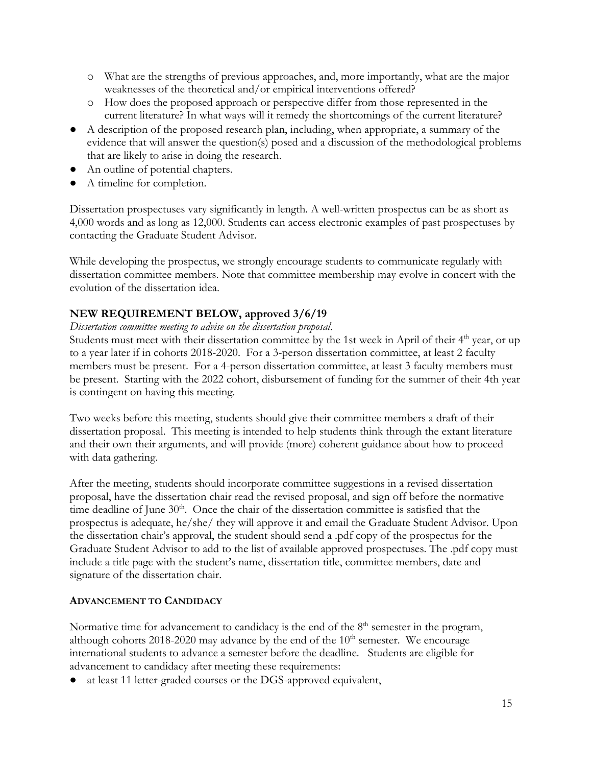- o What are the strengths of previous approaches, and, more importantly, what are the major weaknesses of the theoretical and/or empirical interventions offered?
- o How does the proposed approach or perspective differ from those represented in the current literature? In what ways will it remedy the shortcomings of the current literature?
- A description of the proposed research plan, including, when appropriate, a summary of the evidence that will answer the question(s) posed and a discussion of the methodological problems that are likely to arise in doing the research.
- An outline of potential chapters.
- A timeline for completion.

Dissertation prospectuses vary significantly in length. A well-written prospectus can be as short as 4,000 words and as long as 12,000. Students can access electronic examples of past prospectuses by contacting the Graduate Student Advisor.

While developing the prospectus, we strongly encourage students to communicate regularly with dissertation committee members. Note that committee membership may evolve in concert with the evolution of the dissertation idea.

## **NEW REQUIREMENT BELOW, approved 3/6/19**

#### *Dissertation committee meeting to advise on the dissertation proposal*.

Students must meet with their dissertation committee by the 1st week in April of their  $4<sup>th</sup>$  year, or up to a year later if in cohorts 2018-2020. For a 3-person dissertation committee, at least 2 faculty members must be present. For a 4-person dissertation committee, at least 3 faculty members must be present. Starting with the 2022 cohort, disbursement of funding for the summer of their 4th year is contingent on having this meeting.

Two weeks before this meeting, students should give their committee members a draft of their dissertation proposal. This meeting is intended to help students think through the extant literature and their own their arguments, and will provide (more) coherent guidance about how to proceed with data gathering.

After the meeting, students should incorporate committee suggestions in a revised dissertation proposal, have the dissertation chair read the revised proposal, and sign off before the normative time deadline of June  $30<sup>th</sup>$ . Once the chair of the dissertation committee is satisfied that the prospectus is adequate, he/she/ they will approve it and email the Graduate Student Advisor. Upon the dissertation chair's approval, the student should send a .pdf copy of the prospectus for the Graduate Student Advisor to add to the list of available approved prospectuses. The .pdf copy must include a title page with the student's name, dissertation title, committee members, date and signature of the dissertation chair.

## **ADVANCEMENT TO CANDIDACY**

Normative time for advancement to candidacy is the end of the  $8<sup>th</sup>$  semester in the program, although cohorts 2018-2020 may advance by the end of the  $10<sup>th</sup>$  semester. We encourage international students to advance a semester before the deadline. Students are eligible for advancement to candidacy after meeting these requirements:

● at least 11 letter-graded courses or the DGS-approved equivalent,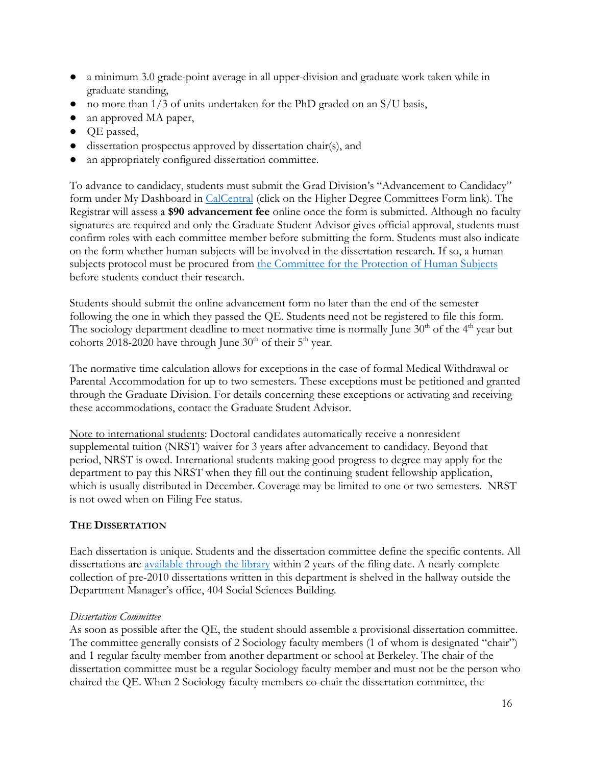- a minimum 3.0 grade-point average in all upper-division and graduate work taken while in graduate standing,
- $\bullet$  no more than 1/3 of units undertaken for the PhD graded on an S/U basis,
- an approved MA paper,
- QE passed,
- dissertation prospectus approved by dissertation chair(s), and
- an appropriately configured dissertation committee.

To advance to candidacy, students must submit the Grad Division's "Advancement to Candidacy" form under My Dashboard in [CalCentral](https://calcentral.berkeley.edu/) (click on the Higher Degree Committees Form link). The Registrar will assess a **\$90 advancement fee** online once the form is submitted. Although no faculty signatures are required and only the Graduate Student Advisor gives official approval, students must confirm roles with each committee member before submitting the form. Students must also indicate on the form whether human subjects will be involved in the dissertation research. If so, a human subjects protocol must be procured from [the Committee for the Protection of Human Subjects](http://cphs.berkeley.edu/) before students conduct their research.

Students should submit the online advancement form no later than the end of the semester following the one in which they passed the QE. Students need not be registered to file this form. The sociology department deadline to meet normative time is normally June  $30<sup>th</sup>$  of the  $4<sup>th</sup>$  year but cohorts 2018-2020 have through June  $30<sup>th</sup>$  of their  $5<sup>th</sup>$  year.

The normative time calculation allows for exceptions in the case of formal Medical Withdrawal or Parental Accommodation for up to two semesters. These exceptions must be petitioned and granted through the Graduate Division. For details concerning these exceptions or activating and receiving these accommodations, contact the Graduate Student Advisor.

Note to international students: Doctoral candidates automatically receive a nonresident supplemental tuition (NRST) waiver for 3 years after advancement to candidacy. Beyond that period, NRST is owed. International students making good progress to degree may apply for the department to pay this NRST when they fill out the continuing student fellowship application, which is usually distributed in December. Coverage may be limited to one or two semesters. NRST is not owed when on Filing Fee status.

## **THE DISSERTATION**

Each dissertation is unique. Students and the dissertation committee define the specific contents. All dissertations are [available through the library](http://www.lib.berkeley.edu/find/types/dissertations.html) within 2 years of the filing date. A nearly complete collection of pre-2010 dissertations written in this department is shelved in the hallway outside the Department Manager's office, 404 Social Sciences Building.

## *Dissertation Committee*

As soon as possible after the QE, the student should assemble a provisional dissertation committee. The committee generally consists of 2 Sociology faculty members (1 of whom is designated "chair") and 1 regular faculty member from another department or school at Berkeley. The chair of the dissertation committee must be a regular Sociology faculty member and must not be the person who chaired the QE. When 2 Sociology faculty members co-chair the dissertation committee, the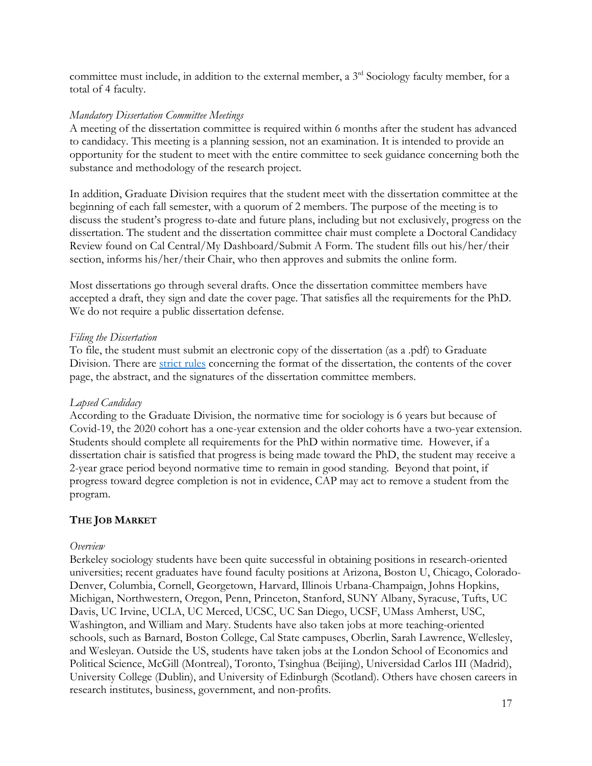committee must include, in addition to the external member, a 3<sup>rd</sup> Sociology faculty member, for a total of 4 faculty.

#### *Mandatory Dissertation Committee Meetings*

A meeting of the dissertation committee is required within 6 months after the student has advanced to candidacy. This meeting is a planning session, not an examination. It is intended to provide an opportunity for the student to meet with the entire committee to seek guidance concerning both the substance and methodology of the research project.

In addition, Graduate Division requires that the student meet with the dissertation committee at the beginning of each fall semester, with a quorum of 2 members. The purpose of the meeting is to discuss the student's progress to-date and future plans, including but not exclusively, progress on the dissertation. The student and the dissertation committee chair must complete a Doctoral Candidacy Review found on Cal Central/My Dashboard/Submit A Form. The student fills out his/her/their section, informs his/her/their Chair, who then approves and submits the online form.

Most dissertations go through several drafts. Once the dissertation committee members have accepted a draft, they sign and date the cover page. That satisfies all the requirements for the PhD. We do not require a public dissertation defense.

#### *Filing the Dissertation*

To file, the student must submit an electronic copy of the dissertation (as a .pdf) to Graduate Division. There are [strict rules](http://grad.berkeley.edu/academic-progress/dissertation/) concerning the format of the dissertation, the contents of the cover page, the abstract, and the signatures of the dissertation committee members.

## *Lapsed Candidacy*

According to the Graduate Division, the normative time for sociology is 6 years but because of Covid-19, the 2020 cohort has a one-year extension and the older cohorts have a two-year extension. Students should complete all requirements for the PhD within normative time. However, if a dissertation chair is satisfied that progress is being made toward the PhD, the student may receive a 2-year grace period beyond normative time to remain in good standing. Beyond that point, if progress toward degree completion is not in evidence, CAP may act to remove a student from the program.

## **THE JOB MARKET**

#### *Overview*

Berkeley sociology students have been quite successful in obtaining positions in research-oriented universities; recent graduates have found faculty positions at Arizona, Boston U, Chicago, Colorado-Denver, Columbia, Cornell, Georgetown, Harvard, Illinois Urbana-Champaign, Johns Hopkins, Michigan, Northwestern, Oregon, Penn, Princeton, Stanford, SUNY Albany, Syracuse, Tufts, UC Davis, UC Irvine, UCLA, UC Merced, UCSC, UC San Diego, UCSF, UMass Amherst, USC, Washington, and William and Mary. Students have also taken jobs at more teaching-oriented schools, such as Barnard, Boston College, Cal State campuses, Oberlin, Sarah Lawrence, Wellesley, and Wesleyan. Outside the US, students have taken jobs at the London School of Economics and Political Science, McGill (Montreal), Toronto, Tsinghua (Beijing), Universidad Carlos III (Madrid), University College (Dublin), and University of Edinburgh (Scotland). Others have chosen careers in research institutes, business, government, and non-profits.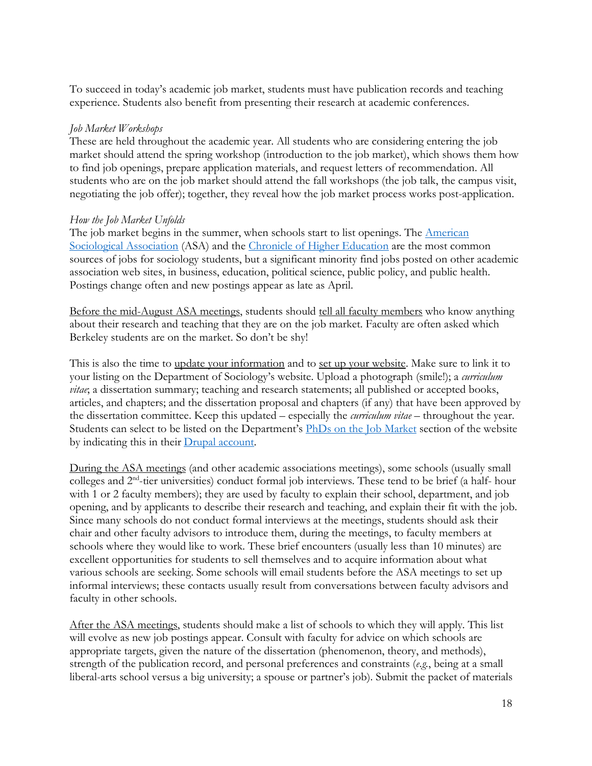To succeed in today's academic job market, students must have publication records and teaching experience. Students also benefit from presenting their research at academic conferences.

## *Job Market Workshops*

These are held throughout the academic year. All students who are considering entering the job market should attend the spring workshop (introduction to the job market), which shows them how to find job openings, prepare application materials, and request letters of recommendation. All students who are on the job market should attend the fall workshops (the job talk, the campus visit, negotiating the job offer); together, they reveal how the job market process works post-application.

#### *How the Job Market Unfolds*

The job market begins in the summer, when schools start to list openings. The American [Sociological Association](http://www.asanet.org/) (ASA) and the [Chronicle of Higher Education](http://chronicle.com/) are the most common sources of jobs for sociology students, but a significant minority find jobs posted on other academic association web sites, in business, education, political science, public policy, and public health. Postings change often and new postings appear as late as April.

Before the mid-August ASA meetings, students should tell all faculty members who know anything about their research and teaching that they are on the job market. Faculty are often asked which Berkeley students are on the market. So don't be shy!

This is also the time to update your information and to set up your website. Make sure to link it to your listing on the Department of Sociology's website. Upload a photograph (smile!); a *curriculum vitae*; a dissertation summary; teaching and research statements; all published or accepted books, articles, and chapters; and the dissertation proposal and chapters (if any) that have been approved by the dissertation committee. Keep this updated – especially the *curriculum vitae* – throughout the year. Students can select to be listed on the Department's [PhDs on the Job Market](http://sociology.berkeley.edu/on_the%20_market) section of the website by indicating this in their [Drupal account.](http://sociology.berkeley.edu/how-drupal)

During the ASA meetings (and other academic associations meetings), some schools (usually small colleges and 2nd-tier universities) conduct formal job interviews. These tend to be brief (a half- hour with 1 or 2 faculty members); they are used by faculty to explain their school, department, and job opening, and by applicants to describe their research and teaching, and explain their fit with the job. Since many schools do not conduct formal interviews at the meetings, students should ask their chair and other faculty advisors to introduce them, during the meetings, to faculty members at schools where they would like to work. These brief encounters (usually less than 10 minutes) are excellent opportunities for students to sell themselves and to acquire information about what various schools are seeking. Some schools will email students before the ASA meetings to set up informal interviews; these contacts usually result from conversations between faculty advisors and faculty in other schools.

After the ASA meetings, students should make a list of schools to which they will apply. This list will evolve as new job postings appear. Consult with faculty for advice on which schools are appropriate targets, given the nature of the dissertation (phenomenon, theory, and methods), strength of the publication record, and personal preferences and constraints (*e.g.*, being at a small liberal-arts school versus a big university; a spouse or partner's job). Submit the packet of materials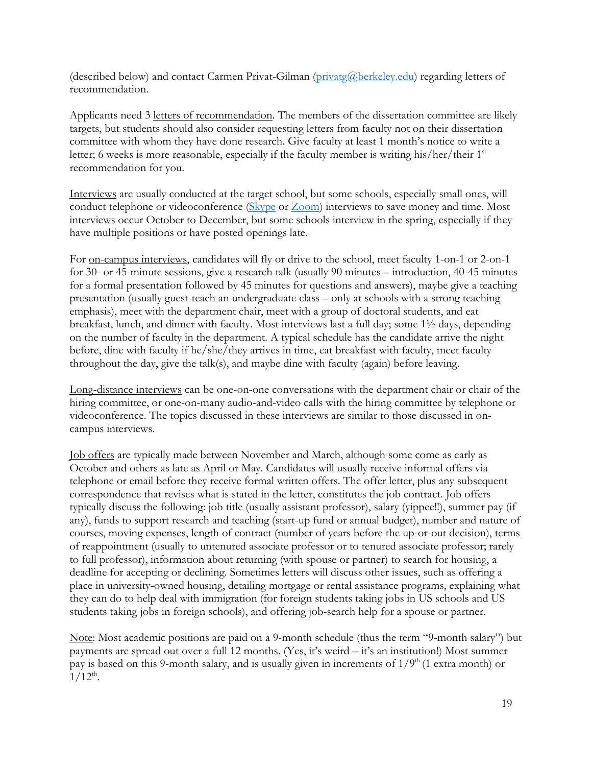(described below) and contact Carmen Privat-Gilman [\(privatg@berkeley.edu\)](mailto:privatg@berkeley.edu) regarding letters of recommendation.

Applicants need 3 <u>letters of recommendation</u>. The members of the dissertation committee are likely targets, but students should also consider requesting letters from faculty not on their dissertation committee with whom they have done research. Give faculty at least 1 month's notice to write a letter; 6 weeks is more reasonable, especially if the faculty member is writing his/her/their 1<sup>st</sup> recommendation for you.

Interviews are usually conducted at the target school, but some schools, especially small ones, will conduct telephone or videoconference [\(Skype](https://www.skype.com/en/) or [Zoom\)](https://zoom.us/) interviews to save money and time. Most interviews occur October to December, but some schools interview in the spring, especially if they have multiple positions or have posted openings late.

For on-campus interviews, candidates will fly or drive to the school, meet faculty 1-on-1 or 2-on-1 for 30- or 45-minute sessions, give a research talk (usually 90 minutes – introduction, 40-45 minutes for a formal presentation followed by 45 minutes for questions and answers), maybe give a teaching presentation (usually guest-teach an undergraduate class – only at schools with a strong teaching emphasis), meet with the department chair, meet with a group of doctoral students, and eat breakfast, lunch, and dinner with faculty. Most interviews last a full day; some 1½ days, depending on the number of faculty in the department. A typical schedule has the candidate arrive the night before, dine with faculty if he/she/they arrives in time, eat breakfast with faculty, meet faculty throughout the day, give the talk(s), and maybe dine with faculty (again) before leaving.

Long-distance interviews can be one-on-one conversations with the department chair or chair of the hiring committee, or one-on-many audio-and-video calls with the hiring committee by telephone or videoconference. The topics discussed in these interviews are similar to those discussed in oncampus interviews.

Job offers are typically made between November and March, although some come as early as October and others as late as April or May. Candidates will usually receive informal offers via telephone or email before they receive formal written offers. The offer letter, plus any subsequent correspondence that revises what is stated in the letter, constitutes the job contract. Job offers typically discuss the following: job title (usually assistant professor), salary (yippee!!), summer pay (if any), funds to support research and teaching (start-up fund or annual budget), number and nature of courses, moving expenses, length of contract (number of years before the up-or-out decision), terms of reappointment (usually to untenured associate professor or to tenured associate professor; rarely to full professor), information about returning (with spouse or partner) to search for housing, a deadline for accepting or declining. Sometimes letters will discuss other issues, such as offering a place in university-owned housing, detailing mortgage or rental assistance programs, explaining what they can do to help deal with immigration (for foreign students taking jobs in US schools and US students taking jobs in foreign schools), and offering job-search help for a spouse or partner.

Note: Most academic positions are paid on a 9-month schedule (thus the term "9-month salary") but payments are spread out over a full 12 months. (Yes, it's weird – it's an institution!) Most summer pay is based on this 9-month salary, and is usually given in increments of  $1/9<sup>th</sup>$  (1 extra month) or  $1/12^{th}$ .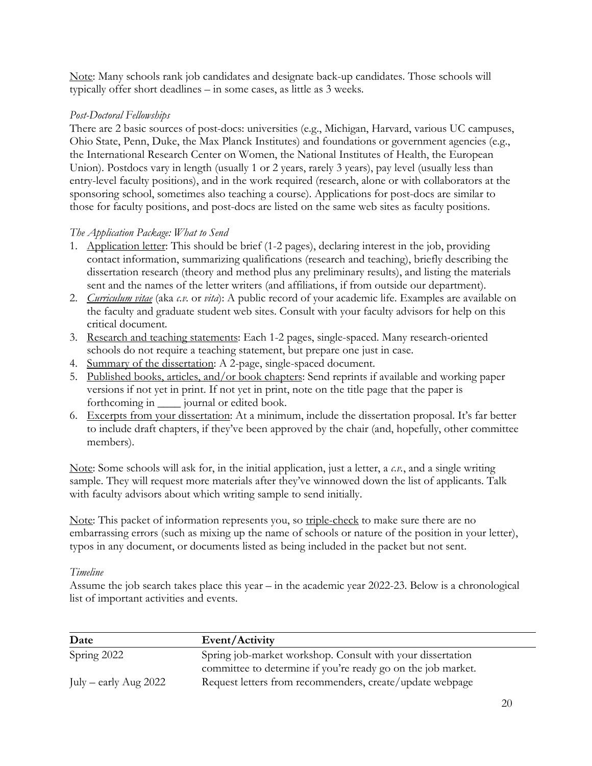Note: Many schools rank job candidates and designate back-up candidates. Those schools will typically offer short deadlines – in some cases, as little as 3 weeks.

## *Post-Doctoral Fellowships*

There are 2 basic sources of post-docs: universities (e.g., Michigan, Harvard, various UC campuses, Ohio State, Penn, Duke, the Max Planck Institutes) and foundations or government agencies (e.g., the International Research Center on Women, the National Institutes of Health, the European Union). Postdocs vary in length (usually 1 or 2 years, rarely 3 years), pay level (usually less than entry-level faculty positions), and in the work required (research, alone or with collaborators at the sponsoring school, sometimes also teaching a course). Applications for post-docs are similar to those for faculty positions, and post-docs are listed on the same web sites as faculty positions.

## *The Application Package: What to Send*

- 1. Application letter: This should be brief (1-2 pages), declaring interest in the job, providing contact information, summarizing qualifications (research and teaching), briefly describing the dissertation research (theory and method plus any preliminary results), and listing the materials sent and the names of the letter writers (and affiliations, if from outside our department).
- 2. *Curriculum vitae* (aka *c.v.* or *vita*): A public record of your academic life. Examples are available on the faculty and graduate student web sites. Consult with your faculty advisors for help on this critical document*.*
- 3. Research and teaching statements: Each 1-2 pages, single-spaced. Many research-oriented schools do not require a teaching statement, but prepare one just in case.
- 4. Summary of the dissertation: A 2-page, single-spaced document.
- 5. Published books, articles, and/or book chapters: Send reprints if available and working paper versions if not yet in print. If not yet in print, note on the title page that the paper is forthcoming in \_\_\_\_ journal or edited book.
- 6. Excerpts from your dissertation: At a minimum, include the dissertation proposal. It's far better to include draft chapters, if they've been approved by the chair (and, hopefully, other committee members).

Note: Some schools will ask for, in the initial application, just a letter, a *c.v.*, and a single writing sample. They will request more materials after they've winnowed down the list of applicants. Talk with faculty advisors about which writing sample to send initially.

Note: This packet of information represents you, so triple-check to make sure there are no embarrassing errors (such as mixing up the name of schools or nature of the position in your letter), typos in any document, or documents listed as being included in the packet but not sent.

## *Timeline*

Assume the job search takes place this year – in the academic year 2022-23. Below is a chronological list of important activities and events.

| Date                    | Event/Activity                                               |
|-------------------------|--------------------------------------------------------------|
| Spring 2022             | Spring job-market workshop. Consult with your dissertation   |
|                         | committee to determine if you're ready go on the job market. |
| July – early Aug $2022$ | Request letters from recommenders, create/update webpage     |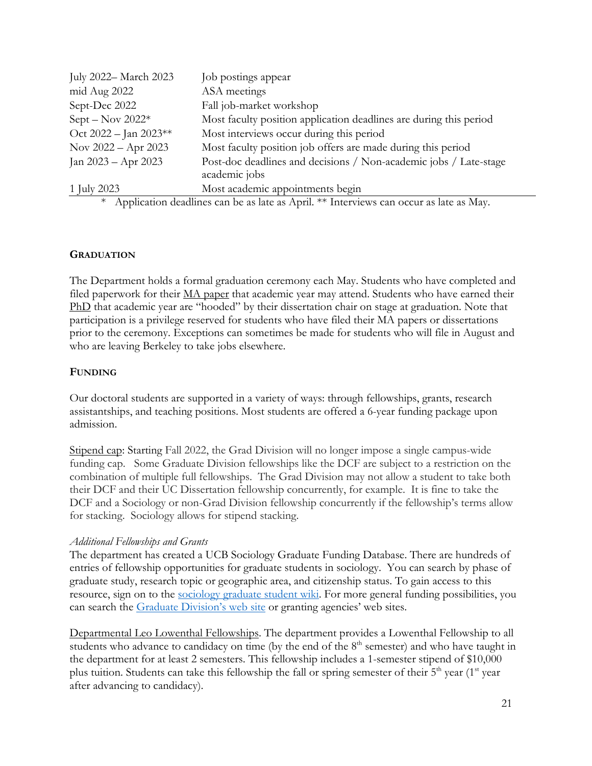| July 2022- March 2023 | Job postings appear                                                                    |
|-----------------------|----------------------------------------------------------------------------------------|
| mid Aug 2022          | ASA meetings                                                                           |
| Sept-Dec 2022         | Fall job-market workshop                                                               |
| $Sept - Nov 2022*$    | Most faculty position application deadlines are during this period                     |
| Oct 2022 - Jan 2023** | Most interviews occur during this period                                               |
| Nov $2022 -$ Apr 2023 | Most faculty position job offers are made during this period                           |
| Jan $2023 -$ Apr 2023 | Post-doc deadlines and decisions / Non-academic jobs / Late-stage                      |
|                       | academic jobs                                                                          |
| 1 July 2023           | Most academic appointments begin                                                       |
| $\ast$                | Application deadlines can be as late as April. ** Interviews can occur as late as May. |

# **GRADUATION**

The Department holds a formal graduation ceremony each May. Students who have completed and filed paperwork for their MA paper that academic year may attend. Students who have earned their PhD that academic year are "hooded" by their dissertation chair on stage at graduation. Note that participation is a privilege reserved for students who have filed their MA papers or dissertations prior to the ceremony. Exceptions can sometimes be made for students who will file in August and who are leaving Berkeley to take jobs elsewhere.

#### **FUNDING**

Our doctoral students are supported in a variety of ways: through fellowships, grants, research assistantships, and teaching positions. Most students are offered a 6-year funding package upon admission.

Stipend cap: Starting Fall 2022, the Grad Division will no longer impose a single campus-wide funding cap. Some Graduate Division fellowships like the DCF are subject to a restriction on the combination of multiple full fellowships. The Grad Division may not allow a student to take both their DCF and their UC Dissertation fellowship concurrently, for example. It is fine to take the DCF and a Sociology or non-Grad Division fellowship concurrently if the fellowship's terms allow for stacking. Sociology allows for stipend stacking.

## *Additional Fellowships and Grants*

The department has created a UCB Sociology Graduate Funding Database. There are hundreds of entries of fellowship opportunities for graduate students in sociology. You can search by phase of graduate study, research topic or geographic area, and citizenship status. To gain access to this resource, sign on to the [sociology graduate student wiki.](https://drive.google.com/drive/folders/1kI6HcaeXqbYrqgde-SynanWLpdCsM5N3?usp=sharing) For more general funding possibilities, you can search the [Graduate Division's web site](http://grad.berkeley.edu/financial/fellowships/) or granting agencies' web sites.

Departmental Leo Lowenthal Fellowships. The department provides a Lowenthal Fellowship to all students who advance to candidacy on time (by the end of the  $8<sup>th</sup>$  semester) and who have taught in the department for at least 2 semesters. This fellowship includes a 1-semester stipend of \$10,000 plus tuition. Students can take this fellowship the fall or spring semester of their  $5<sup>th</sup>$  year (1<sup>st</sup> year after advancing to candidacy).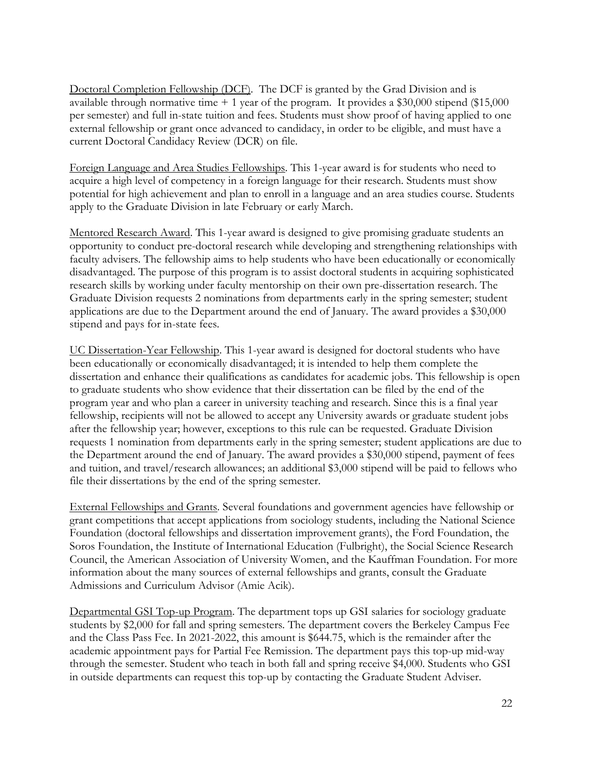Doctoral Completion Fellowship (DCF). The DCF is granted by the Grad Division and is available through normative time  $+1$  year of the program. It provides a \$30,000 stipend (\$15,000) per semester) and full in-state tuition and fees. Students must show proof of having applied to one external fellowship or grant once advanced to candidacy, in order to be eligible, and must have a current Doctoral Candidacy Review (DCR) on file.

Foreign Language and Area Studies Fellowships. This 1-year award is for students who need to acquire a high level of competency in a foreign language for their research. Students must show potential for high achievement and plan to enroll in a language and an area studies course. Students apply to the Graduate Division in late February or early March.

Mentored Research Award. This 1-year award is designed to give promising graduate students an opportunity to conduct pre-doctoral research while developing and strengthening relationships with faculty advisers. The fellowship aims to help students who have been educationally or economically disadvantaged. The purpose of this program is to assist doctoral students in acquiring sophisticated research skills by working under faculty mentorship on their own pre-dissertation research. The Graduate Division requests 2 nominations from departments early in the spring semester; student applications are due to the Department around the end of January. The award provides a \$30,000 stipend and pays for in-state fees.

UC Dissertation-Year Fellowship. This 1-year award is designed for doctoral students who have been educationally or economically disadvantaged; it is intended to help them complete the dissertation and enhance their qualifications as candidates for academic jobs. This fellowship is open to graduate students who show evidence that their dissertation can be filed by the end of the program year and who plan a career in university teaching and research. Since this is a final year fellowship, recipients will not be allowed to accept any University awards or graduate student jobs after the fellowship year; however, exceptions to this rule can be requested. Graduate Division requests 1 nomination from departments early in the spring semester; student applications are due to the Department around the end of January. The award provides a \$30,000 stipend, payment of fees and tuition, and travel/research allowances; an additional \$3,000 stipend will be paid to fellows who file their dissertations by the end of the spring semester.

External Fellowships and Grants. Several foundations and government agencies have fellowship or grant competitions that accept applications from sociology students, including the National Science Foundation (doctoral fellowships and dissertation improvement grants), the Ford Foundation, the Soros Foundation, the Institute of International Education (Fulbright), the Social Science Research Council, the American Association of University Women, and the Kauffman Foundation. For more information about the many sources of external fellowships and grants, consult the Graduate Admissions and Curriculum Advisor (Amie Acik).

Departmental GSI Top-up Program. The department tops up GSI salaries for sociology graduate students by \$2,000 for fall and spring semesters. The department covers the Berkeley Campus Fee and the Class Pass Fee. In 2021-2022, this amount is \$644.75, which is the remainder after the academic appointment pays for Partial Fee Remission. The department pays this top-up mid-way through the semester. Student who teach in both fall and spring receive \$4,000. Students who GSI in outside departments can request this top-up by contacting the Graduate Student Adviser.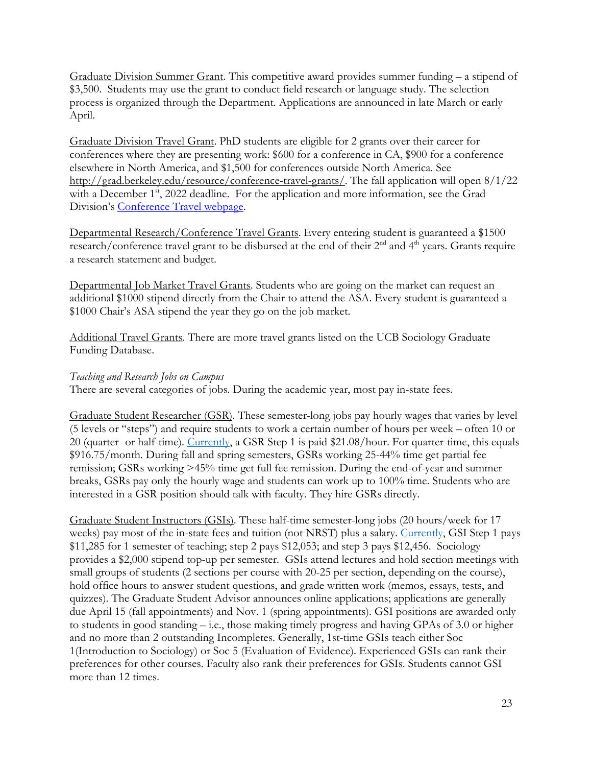Graduate Division Summer Grant. This competitive award provides summer funding – a stipend of \$3,500. Students may use the grant to conduct field research or language study. The selection process is organized through the Department. Applications are announced in late March or early April.

Graduate Division Travel Grant. PhD students are eligible for 2 grants over their career for conferences where they are presenting work: \$600 for a conference in CA, \$900 for a conference elsewhere in North America, and \$1,500 for conferences outside North America. See [http://grad.berkeley.edu/resource/conference-travel-grants/.](http://grad.berkeley.edu/resource/conference-travel-grants/) The fall application will open 8/1/22 with a December 1<sup>st</sup>, 2022 deadline. For the application and more information, see the Grad Division's [Conference Travel webpage.](https://grad.berkeley.edu/resource/conference-travel-grants/)

Departmental Research/Conference Travel Grants. Every entering student is guaranteed a \$1500 research/conference travel grant to be disbursed at the end of their 2<sup>nd</sup> and 4<sup>th</sup> years. Grants require a research statement and budget.

Departmental Job Market Travel Grants. Students who are going on the market can request an additional \$1000 stipend directly from the Chair to attend the ASA. Every student is guaranteed a \$1000 Chair's ASA stipend the year they go on the job market.

Additional Travel Grants. There are more travel grants listed on the UCB Sociology Graduate Funding Database.

#### *Teaching and Research Jobs on Campus*

There are several categories of jobs. During the academic year, most pay in-state fees.

Graduate Student Researcher (GSR). These semester-long jobs pay hourly wages that varies by level (5 levels or "steps") and require students to work a certain number of hours per week – often 10 or 20 (quarter- or half-time). [Currently,](https://www.ucop.edu/academic-personnel-programs/_files/2022/oct-2021-scales/t22.pdf) a GSR Step 1 is paid \$21.08/hour. For quarter-time, this equals \$916.75/month. During fall and spring semesters, GSRs working 25-44% time get partial fee remission; GSRs working >45% time get full fee remission. During the end-of-year and summer breaks, GSRs pay only the hourly wage and students can work up to 100% time. Students who are interested in a GSR position should talk with faculty. They hire GSRs directly.

Graduate Student Instructors (GSIs). These half-time semester-long jobs (20 hours/week for 17 weeks) pay most of the in-state fees and tuition (not NRST) plus a salary. [Currently,](https://hr.berkeley.edu/labor/contracts/BX/current-rates) GSI Step 1 pays \$11,285 for 1 semester of teaching; step 2 pays \$12,053; and step 3 pays \$12,456. Sociology provides a \$2,000 stipend top-up per semester. GSIs attend lectures and hold section meetings with small groups of students (2 sections per course with 20-25 per section, depending on the course), hold office hours to answer student questions, and grade written work (memos, essays, tests, and quizzes). The Graduate Student Advisor announces online applications; applications are generally due April 15 (fall appointments) and Nov. 1 (spring appointments). GSI positions are awarded only to students in good standing – i.e., those making timely progress and having GPAs of 3.0 or higher and no more than 2 outstanding Incompletes. Generally, 1st-time GSIs teach either Soc 1(Introduction to Sociology) or Soc 5 (Evaluation of Evidence). Experienced GSIs can rank their preferences for other courses. Faculty also rank their preferences for GSIs. Students cannot GSI more than 12 times.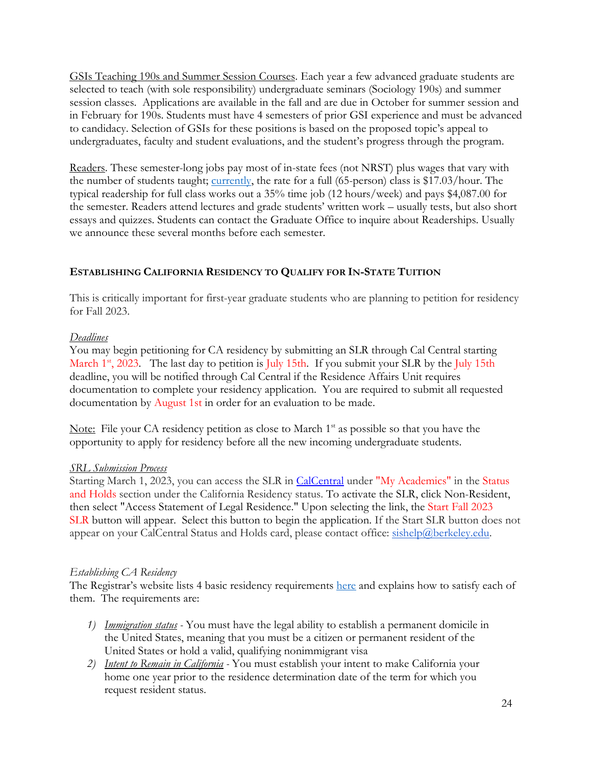GSIs Teaching 190s and Summer Session Courses. Each year a few advanced graduate students are selected to teach (with sole responsibility) undergraduate seminars (Sociology 190s) and summer session classes. Applications are available in the fall and are due in October for summer session and in February for 190s. Students must have 4 semesters of prior GSI experience and must be advanced to candidacy. Selection of GSIs for these positions is based on the proposed topic's appeal to undergraduates, faculty and student evaluations, and the student's progress through the program.

Readers. These semester-long jobs pay most of in-state fees (not NRST) plus wages that vary with the number of students taught; [currently,](https://hr.berkeley.edu/labor/contracts/BX/current-rates) the rate for a full (65-person) class is \$17.03/hour. The typical readership for full class works out a 35% time job (12 hours/week) and pays \$4,087.00 for the semester. Readers attend lectures and grade students' written work – usually tests, but also short essays and quizzes. Students can contact the Graduate Office to inquire about Readerships. Usually we announce these several months before each semester.

## **ESTABLISHING CALIFORNIA RESIDENCY TO QUALIFY FOR IN-STATE TUITION**

This is critically important for first-year graduate students who are planning to petition for residency for Fall 2023.

## *Deadlines*

You may begin petitioning for CA residency by submitting an SLR through Cal Central starting March  $1<sup>st</sup>$ , 2023. The last day to petition is July 15th. If you submit your SLR by the July 15th deadline, you will be notified through Cal Central if the Residence Affairs Unit requires documentation to complete your residency application. You are required to submit all requested documentation by August 1st in order for an evaluation to be made.

Note: File your CA residency petition as close to March  $1<sup>st</sup>$  as possible so that you have the opportunity to apply for residency before all the new incoming undergraduate students.

## *SRL Submission Process*

Starting March 1, 2023, you can access the SLR in [CalCentral](https://calcentral.berkeley.edu/dashboard) under "My Academics" in the Status and Holds section under the California Residency status. To activate the SLR, click Non-Resident, then select "Access Statement of Legal Residence." Upon selecting the link, the Start Fall 2023 SLR button will appear. Select this button to begin the application. If the Start SLR button does not appear on your CalCentral Status and Holds card, please contact office: [sishelp@berkeley.edu.](mailto:orres@berkeley.edu)

## *Establishing CA Residency*

The Registrar's website lists 4 basic residency requirements [here](http://registrar.berkeley.edu/tuition-fees-residency/residency-tuition-purposes/in-state-tuition-graduate-students) and explains how to satisfy each of them. The requirements are:

- *1) Immigration status* You must have the legal ability to establish a permanent domicile in the United States, meaning that you must be a citizen or permanent resident of the United States or hold a valid, qualifying nonimmigrant visa
- *2) Intent to Remain in California* You must establish your intent to make California your home one year prior to the residence determination date of the term for which you request resident status.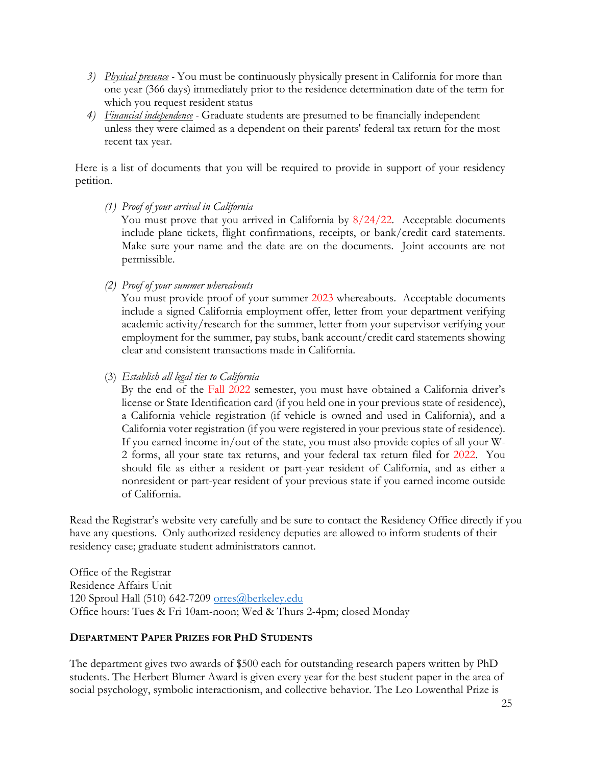- *3) Physical presence* You must be continuously physically present in California for more than one year (366 days) immediately prior to the residence determination date of the term for which you request resident status
- *4) Financial independence* Graduate students are presumed to be financially independent unless they were claimed as a dependent on their parents' federal tax return for the most recent tax year.

Here is a list of documents that you will be required to provide in support of your residency petition.

*(1) Proof of your arrival in California*

You must prove that you arrived in California by  $8/24/22$ . Acceptable documents include plane tickets, flight confirmations, receipts, or bank/credit card statements. Make sure your name and the date are on the documents. Joint accounts are not permissible.

*(2) Proof of your summer whereabouts*

You must provide proof of your summer 2023 whereabouts. Acceptable documents include a signed California employment offer, letter from your department verifying academic activity/research for the summer, letter from your supervisor verifying your employment for the summer, pay stubs, bank account/credit card statements showing clear and consistent transactions made in California.

(3) *Establish all legal ties to California*

By the end of the Fall 2022 semester, you must have obtained a California driver's license or State Identification card (if you held one in your previous state of residence), a California vehicle registration (if vehicle is owned and used in California), and a California voter registration (if you were registered in your previous state of residence). If you earned income in/out of the state, you must also provide copies of all your W-2 forms, all your state tax returns, and your federal tax return filed for 2022. You should file as either a resident or part-year resident of California, and as either a nonresident or part-year resident of your previous state if you earned income outside of California.

Read the Registrar's website very carefully and be sure to contact the Residency Office directly if you have any questions. Only authorized residency deputies are allowed to inform students of their residency case; graduate student administrators cannot.

Office of the Registrar Residence Affairs Unit 120 Sproul Hall (510) 642-7209 orres@berkeley.edu Office hours: Tues & Fri 10am-noon; Wed & Thurs 2-4pm; closed Monday

## **DEPARTMENT PAPER PRIZES FOR PHD STUDENTS**

The department gives two awards of \$500 each for outstanding research papers written by PhD students. The Herbert Blumer Award is given every year for the best student paper in the area of social psychology, symbolic interactionism, and collective behavior. The Leo Lowenthal Prize is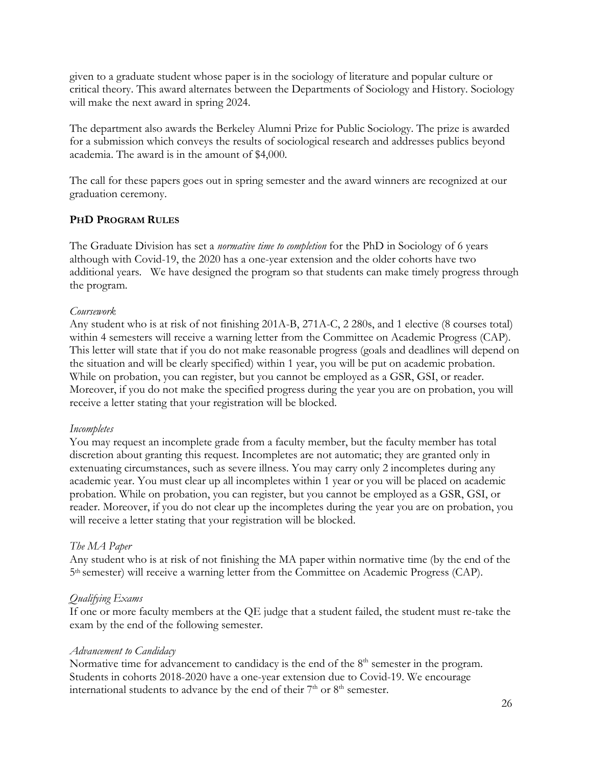given to a graduate student whose paper is in the sociology of literature and popular culture or critical theory. This award alternates between the Departments of Sociology and History. Sociology will make the next award in spring 2024.

The department also awards the Berkeley Alumni Prize for Public Sociology. The prize is awarded for a submission which conveys the results of sociological research and addresses publics beyond academia. The award is in the amount of \$4,000.

The call for these papers goes out in spring semester and the award winners are recognized at our graduation ceremony.

## **PHD PROGRAM RULES**

The Graduate Division has set a *normative time to completion* for the PhD in Sociology of 6 years although with Covid-19, the 2020 has a one-year extension and the older cohorts have two additional years. We have designed the program so that students can make timely progress through the program.

## *Coursework*

Any student who is at risk of not finishing 201A-B, 271A-C, 2 280s, and 1 elective (8 courses total) within 4 semesters will receive a warning letter from the Committee on Academic Progress (CAP). This letter will state that if you do not make reasonable progress (goals and deadlines will depend on the situation and will be clearly specified) within 1 year, you will be put on academic probation. While on probation, you can register, but you cannot be employed as a GSR, GSI, or reader. Moreover, if you do not make the specified progress during the year you are on probation, you will receive a letter stating that your registration will be blocked.

## *Incompletes*

You may request an incomplete grade from a faculty member, but the faculty member has total discretion about granting this request. Incompletes are not automatic; they are granted only in extenuating circumstances, such as severe illness. You may carry only 2 incompletes during any academic year. You must clear up all incompletes within 1 year or you will be placed on academic probation. While on probation, you can register, but you cannot be employed as a GSR, GSI, or reader. Moreover, if you do not clear up the incompletes during the year you are on probation, you will receive a letter stating that your registration will be blocked.

## *The MA Paper*

Any student who is at risk of not finishing the MA paper within normative time (by the end of the 5th semester) will receive a warning letter from the Committee on Academic Progress (CAP).

## *Qualifying Exams*

If one or more faculty members at the QE judge that a student failed, the student must re-take the exam by the end of the following semester.

## *Advancement to Candidacy*

Normative time for advancement to candidacy is the end of the  $8<sup>th</sup>$  semester in the program. Students in cohorts 2018-2020 have a one-year extension due to Covid-19. We encourage international students to advance by the end of their  $7<sup>th</sup>$  or  $8<sup>th</sup>$  semester.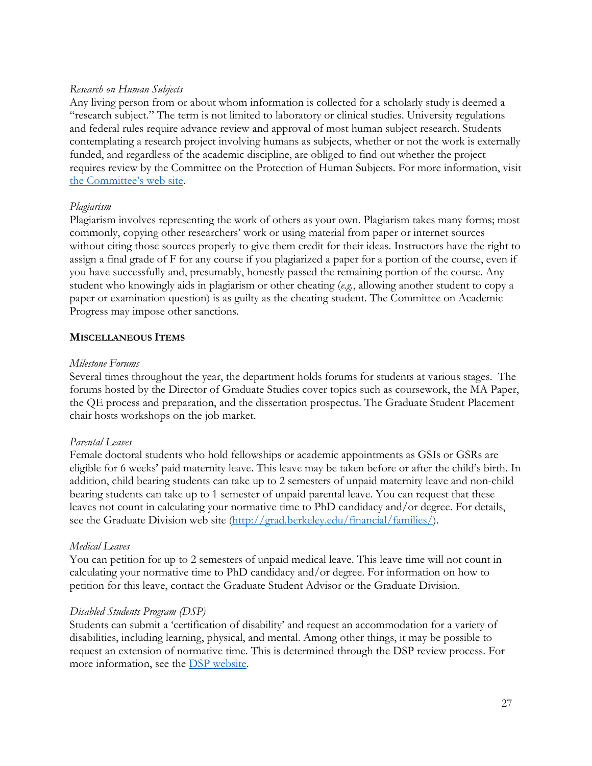#### *Research on Human Subjects*

Any living person from or about whom information is collected for a scholarly study is deemed a "research subject." The term is not limited to laboratory or clinical studies. University regulations and federal rules require advance review and approval of most human subject research. Students contemplating a research project involving humans as subjects, whether or not the work is externally funded, and regardless of the academic discipline, are obliged to find out whether the project requires review by the Committee on the Protection of Human Subjects. For more information, visit [the Committee's web site.](http://cphs.berkeley.edu/)

## *Plagiarism*

Plagiarism involves representing the work of others as your own. Plagiarism takes many forms; most commonly, copying other researchers' work or using material from paper or internet sources without citing those sources properly to give them credit for their ideas. Instructors have the right to assign a final grade of F for any course if you plagiarized a paper for a portion of the course, even if you have successfully and, presumably, honestly passed the remaining portion of the course. Any student who knowingly aids in plagiarism or other cheating (*e.g.*, allowing another student to copy a paper or examination question) is as guilty as the cheating student. The Committee on Academic Progress may impose other sanctions.

#### **MISCELLANEOUS ITEMS**

#### *Milestone Forums*

Several times throughout the year, the department holds forums for students at various stages. The forums hosted by the Director of Graduate Studies cover topics such as coursework, the MA Paper, the QE process and preparation, and the dissertation prospectus. The Graduate Student Placement chair hosts workshops on the job market.

## *Parental Leaves*

Female doctoral students who hold fellowships or academic appointments as GSIs or GSRs are eligible for 6 weeks' paid maternity leave. This leave may be taken before or after the child's birth. In addition, child bearing students can take up to 2 semesters of unpaid maternity leave and non-child bearing students can take up to 1 semester of unpaid parental leave. You can request that these leaves not count in calculating your normative time to PhD candidacy and/or degree. For details, see the Graduate Division web site [\(http://grad.berkeley.edu/financial/families/](http://grad.berkeley.edu/financial/families/)[\).](http://www.grad.berkeley.edu/policies/memo_doctoral_parent.shtml) 

## *Medical Leaves*

You can petition for up to 2 semesters of unpaid medical leave. This leave time will not count in calculating your normative time to PhD candidacy and/or degree. For information on how to petition for this leave, contact the Graduate Student Advisor or the Graduate Division.

## *Disabled Students Program (DSP)*

Students can submit a 'certification of disability' and request an accommodation for a variety of disabilities, including learning, physical, and mental. Among other things, it may be possible to request an extension of normative time. This is determined through the DSP review process. For more information, see the **DSP** website.